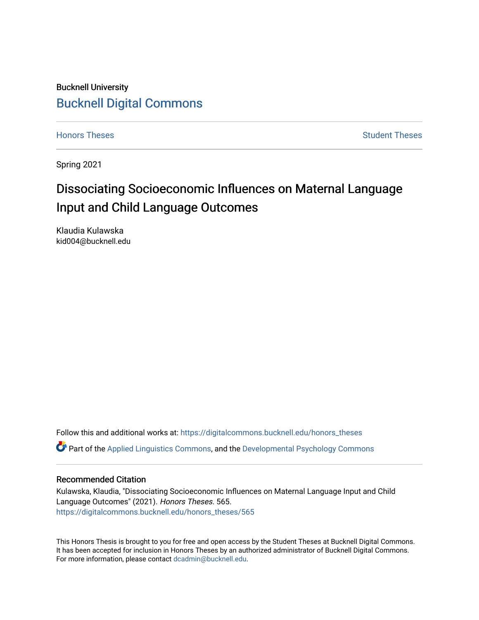Bucknell University [Bucknell Digital Commons](https://digitalcommons.bucknell.edu/)

[Honors Theses](https://digitalcommons.bucknell.edu/honors_theses) **Student Theses** [Student Theses](https://digitalcommons.bucknell.edu/student_theses) Student Theses Student Theses

Spring 2021

# Dissociating Socioeconomic Influences on Maternal Language Input and Child Language Outcomes

Klaudia Kulawska kid004@bucknell.edu

Follow this and additional works at: [https://digitalcommons.bucknell.edu/honors\\_theses](https://digitalcommons.bucknell.edu/honors_theses?utm_source=digitalcommons.bucknell.edu%2Fhonors_theses%2F565&utm_medium=PDF&utm_campaign=PDFCoverPages)

Part of the [Applied Linguistics Commons,](http://network.bepress.com/hgg/discipline/373?utm_source=digitalcommons.bucknell.edu%2Fhonors_theses%2F565&utm_medium=PDF&utm_campaign=PDFCoverPages) and the [Developmental Psychology Commons](http://network.bepress.com/hgg/discipline/410?utm_source=digitalcommons.bucknell.edu%2Fhonors_theses%2F565&utm_medium=PDF&utm_campaign=PDFCoverPages)

# Recommended Citation

Kulawska, Klaudia, "Dissociating Socioeconomic Influences on Maternal Language Input and Child Language Outcomes" (2021). Honors Theses. 565. [https://digitalcommons.bucknell.edu/honors\\_theses/565](https://digitalcommons.bucknell.edu/honors_theses/565?utm_source=digitalcommons.bucknell.edu%2Fhonors_theses%2F565&utm_medium=PDF&utm_campaign=PDFCoverPages) 

This Honors Thesis is brought to you for free and open access by the Student Theses at Bucknell Digital Commons. It has been accepted for inclusion in Honors Theses by an authorized administrator of Bucknell Digital Commons. For more information, please contact [dcadmin@bucknell.edu](mailto:dcadmin@bucknell.edu).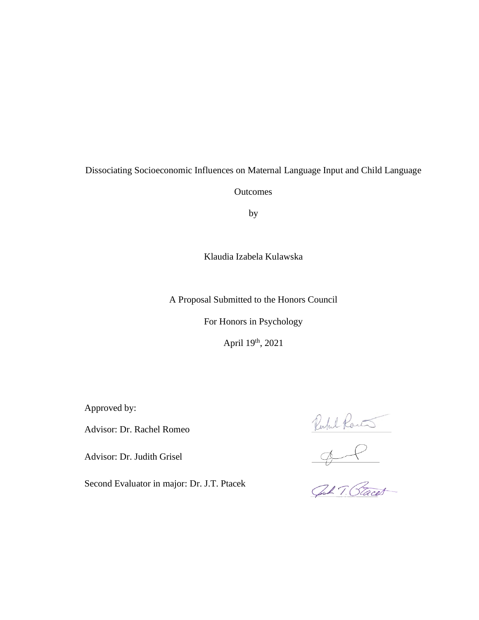Dissociating Socioeconomic Influences on Maternal Language Input and Child Language

**Outcomes** 

by

Klaudia Izabela Kulawska

A Proposal Submitted to the Honors Council

For Honors in Psychology

April 19th, 2021

Approved by:

Advisor: Dr. Rachel Romeo

Advisor: Dr. Judith Grisel

Second Evaluator in major: Dr. J.T. Ptacek

Ruhl Rants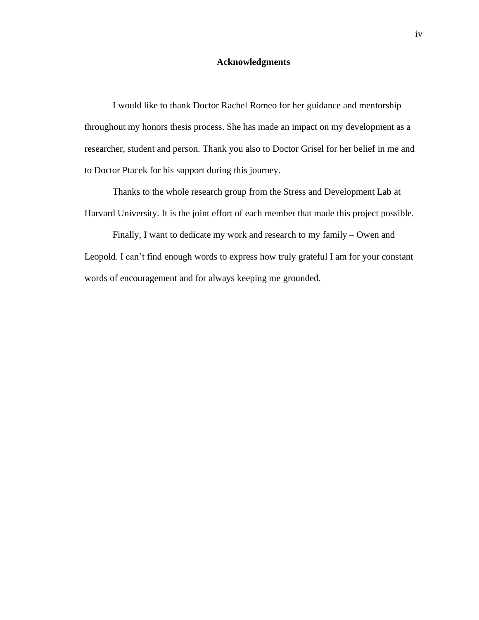## **Acknowledgments**

I would like to thank Doctor Rachel Romeo for her guidance and mentorship throughout my honors thesis process. She has made an impact on my development as a researcher, student and person. Thank you also to Doctor Grisel for her belief in me and to Doctor Ptacek for his support during this journey.

Thanks to the whole research group from the Stress and Development Lab at Harvard University. It is the joint effort of each member that made this project possible.

Finally, I want to dedicate my work and research to my family – Owen and Leopold. I can't find enough words to express how truly grateful I am for your constant words of encouragement and for always keeping me grounded.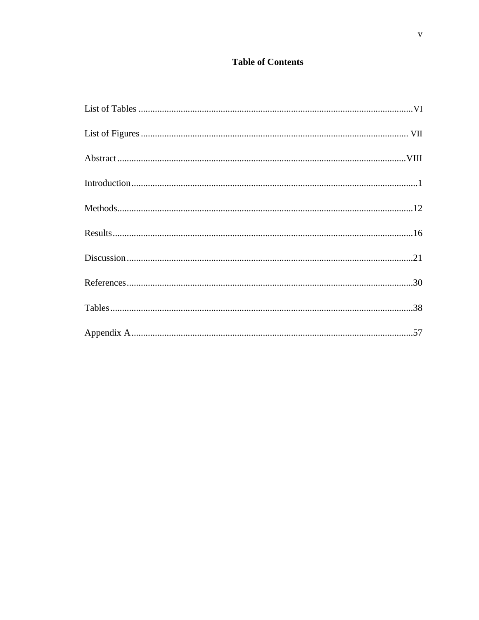# **Table of Contents**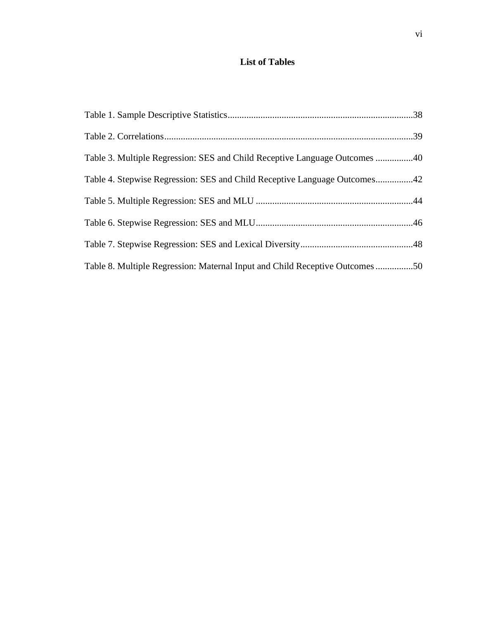# <span id="page-5-0"></span>**List of Tables**

| Table 3. Multiple Regression: SES and Child Receptive Language Outcomes 40  |  |
|-----------------------------------------------------------------------------|--|
| Table 4. Stepwise Regression: SES and Child Receptive Language Outcomes42   |  |
|                                                                             |  |
|                                                                             |  |
|                                                                             |  |
| Table 8. Multiple Regression: Maternal Input and Child Receptive Outcomes50 |  |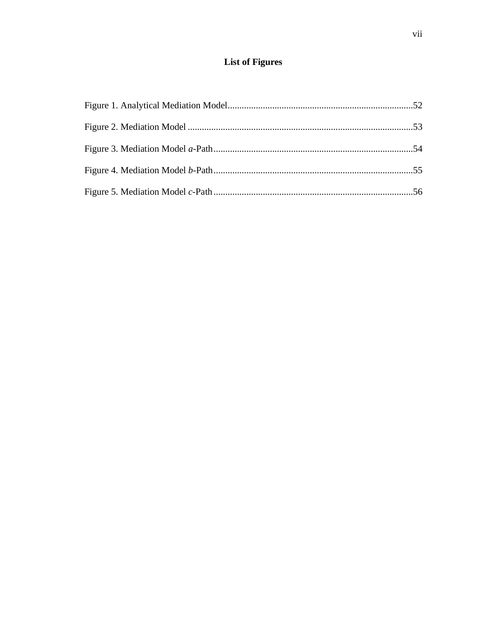# **List of Figures**

<span id="page-6-0"></span>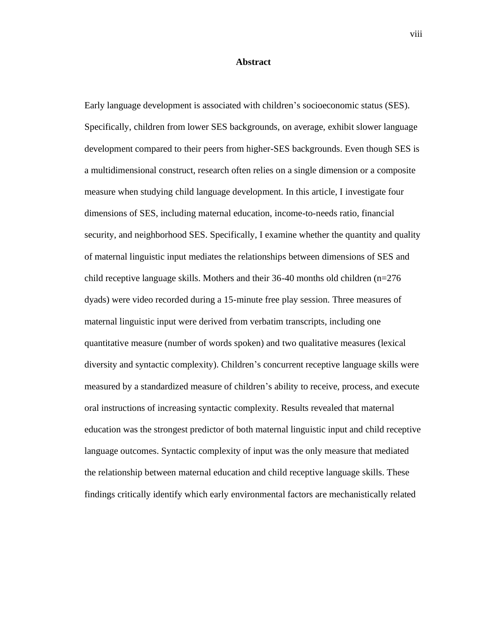### **Abstract**

<span id="page-7-0"></span>Early language development is associated with children's socioeconomic status (SES). Specifically, children from lower SES backgrounds, on average, exhibit slower language development compared to their peers from higher-SES backgrounds. Even though SES is a multidimensional construct, research often relies on a single dimension or a composite measure when studying child language development. In this article, I investigate four dimensions of SES, including maternal education, income-to-needs ratio, financial security, and neighborhood SES. Specifically, I examine whether the quantity and quality of maternal linguistic input mediates the relationships between dimensions of SES and child receptive language skills. Mothers and their 36-40 months old children (n=276 dyads) were video recorded during a 15-minute free play session. Three measures of maternal linguistic input were derived from verbatim transcripts, including one quantitative measure (number of words spoken) and two qualitative measures (lexical diversity and syntactic complexity). Children's concurrent receptive language skills were measured by a standardized measure of children's ability to receive, process, and execute oral instructions of increasing syntactic complexity. Results revealed that maternal education was the strongest predictor of both maternal linguistic input and child receptive language outcomes. Syntactic complexity of input was the only measure that mediated the relationship between maternal education and child receptive language skills. These findings critically identify which early environmental factors are mechanistically related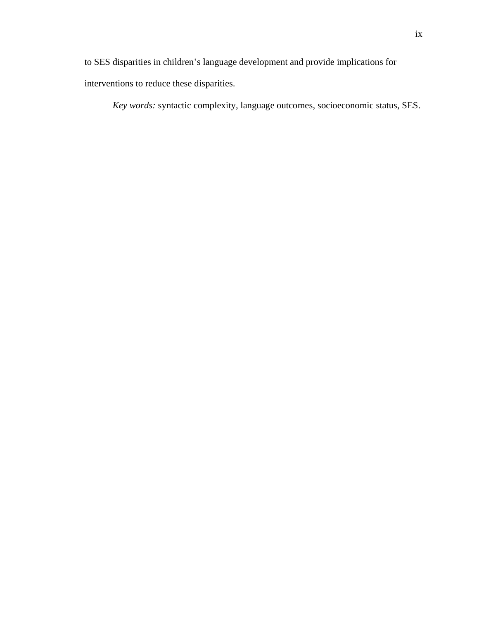to SES disparities in children's language development and provide implications for interventions to reduce these disparities.

*Key words:* syntactic complexity, language outcomes, socioeconomic status, SES.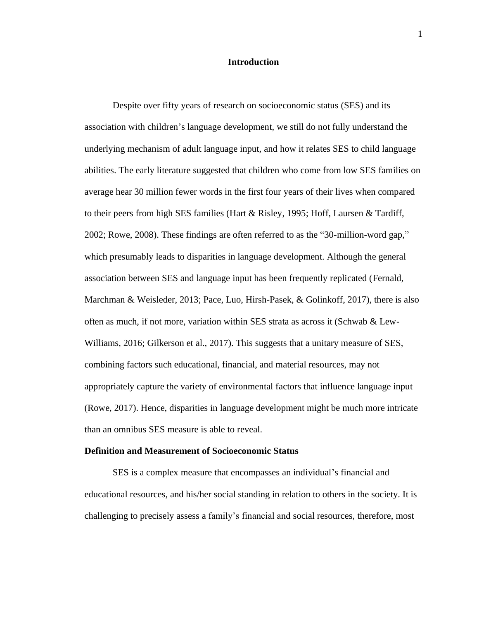## **Introduction**

<span id="page-9-0"></span>Despite over fifty years of research on socioeconomic status (SES) and its association with children's language development, we still do not fully understand the underlying mechanism of adult language input, and how it relates SES to child language abilities. The early literature suggested that children who come from low SES families on average hear 30 million fewer words in the first four years of their lives when compared to their peers from high SES families (Hart & Risley, 1995; Hoff, Laursen & Tardiff, 2002; Rowe, 2008). These findings are often referred to as the "30-million-word gap," which presumably leads to disparities in language development. Although the general association between SES and language input has been frequently replicated (Fernald, Marchman & Weisleder, 2013; Pace, Luo, Hirsh-Pasek, & Golinkoff, 2017), there is also often as much, if not more, variation within SES strata as across it (Schwab & Lew-Williams, 2016; Gilkerson et al., 2017). This suggests that a unitary measure of SES, combining factors such educational, financial, and material resources, may not appropriately capture the variety of environmental factors that influence language input (Rowe, 2017). Hence, disparities in language development might be much more intricate than an omnibus SES measure is able to reveal.

#### **Definition and Measurement of Socioeconomic Status**

SES is a complex measure that encompasses an individual's financial and educational resources, and his/her social standing in relation to others in the society. It is challenging to precisely assess a family's financial and social resources, therefore, most

1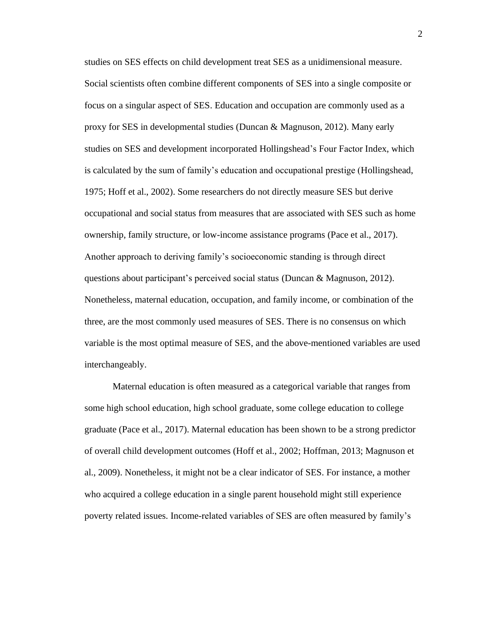studies on SES effects on child development treat SES as a unidimensional measure. Social scientists often combine different components of SES into a single composite or focus on a singular aspect of SES. Education and occupation are commonly used as a proxy for SES in developmental studies (Duncan & Magnuson, 2012). Many early studies on SES and development incorporated Hollingshead's Four Factor Index, which is calculated by the sum of family's education and occupational prestige (Hollingshead, 1975; Hoff et al., 2002). Some researchers do not directly measure SES but derive occupational and social status from measures that are associated with SES such as home ownership, family structure, or low-income assistance programs (Pace et al., 2017). Another approach to deriving family's socioeconomic standing is through direct questions about participant's perceived social status (Duncan & Magnuson, 2012). Nonetheless, maternal education, occupation, and family income, or combination of the three, are the most commonly used measures of SES. There is no consensus on which variable is the most optimal measure of SES, and the above-mentioned variables are used interchangeably.

Maternal education is often measured as a categorical variable that ranges from some high school education, high school graduate, some college education to college graduate (Pace et al., 2017). Maternal education has been shown to be a strong predictor of overall child development outcomes (Hoff et al., 2002; Hoffman, 2013; Magnuson et al., 2009). Nonetheless, it might not be a clear indicator of SES. For instance, a mother who acquired a college education in a single parent household might still experience poverty related issues. Income-related variables of SES are often measured by family's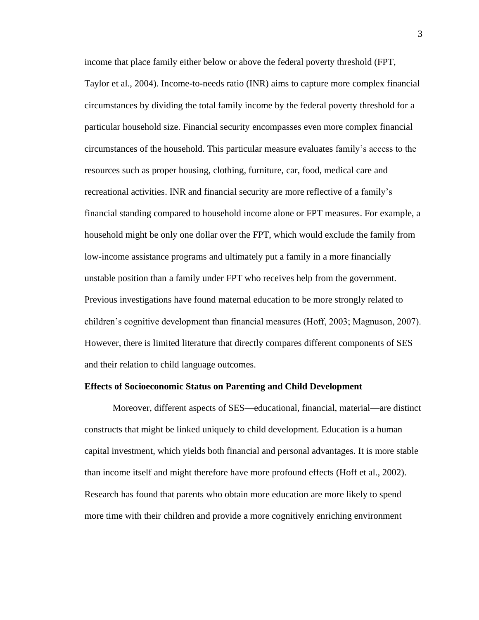income that place family either below or above the federal poverty threshold (FPT, Taylor et al., 2004). Income-to-needs ratio (INR) aims to capture more complex financial circumstances by dividing the total family income by the federal poverty threshold for a particular household size. Financial security encompasses even more complex financial circumstances of the household. This particular measure evaluates family's access to the resources such as proper housing, clothing, furniture, car, food, medical care and recreational activities. INR and financial security are more reflective of a family's financial standing compared to household income alone or FPT measures. For example, a household might be only one dollar over the FPT, which would exclude the family from low-income assistance programs and ultimately put a family in a more financially unstable position than a family under FPT who receives help from the government. Previous investigations have found maternal education to be more strongly related to children's cognitive development than financial measures (Hoff, 2003; Magnuson, 2007). However, there is limited literature that directly compares different components of SES and their relation to child language outcomes.

#### **Effects of Socioeconomic Status on Parenting and Child Development**

Moreover, different aspects of SES—educational, financial, material—are distinct constructs that might be linked uniquely to child development. Education is a human capital investment, which yields both financial and personal advantages. It is more stable than income itself and might therefore have more profound effects (Hoff et al., 2002). Research has found that parents who obtain more education are more likely to spend more time with their children and provide a more cognitively enriching environment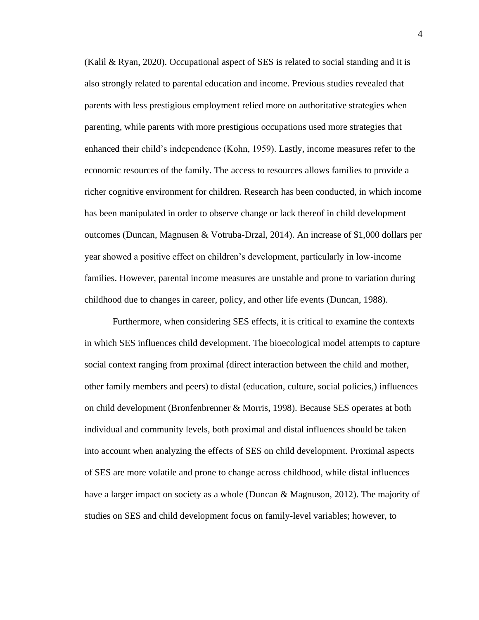(Kalil & Ryan, 2020). Occupational aspect of SES is related to social standing and it is also strongly related to parental education and income. Previous studies revealed that parents with less prestigious employment relied more on authoritative strategies when parenting, while parents with more prestigious occupations used more strategies that enhanced their child's independence (Kohn, 1959). Lastly, income measures refer to the economic resources of the family. The access to resources allows families to provide a richer cognitive environment for children. Research has been conducted, in which income has been manipulated in order to observe change or lack thereof in child development outcomes (Duncan, Magnusen & Votruba-Drzal, 2014). An increase of \$1,000 dollars per year showed a positive effect on children's development, particularly in low-income families. However, parental income measures are unstable and prone to variation during childhood due to changes in career, policy, and other life events (Duncan, 1988).

Furthermore, when considering SES effects, it is critical to examine the contexts in which SES influences child development. The bioecological model attempts to capture social context ranging from proximal (direct interaction between the child and mother, other family members and peers) to distal (education, culture, social policies,) influences on child development (Bronfenbrenner & Morris, 1998). Because SES operates at both individual and community levels, both proximal and distal influences should be taken into account when analyzing the effects of SES on child development. Proximal aspects of SES are more volatile and prone to change across childhood, while distal influences have a larger impact on society as a whole (Duncan & Magnuson, 2012). The majority of studies on SES and child development focus on family-level variables; however, to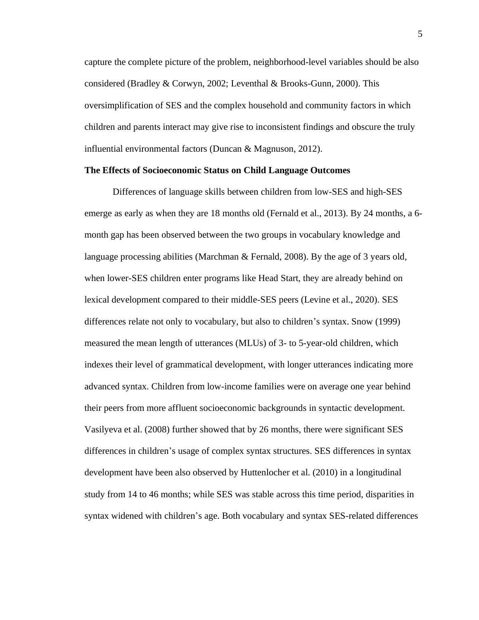capture the complete picture of the problem, neighborhood-level variables should be also considered (Bradley & Corwyn, 2002; Leventhal & Brooks-Gunn, 2000). This oversimplification of SES and the complex household and community factors in which children and parents interact may give rise to inconsistent findings and obscure the truly influential environmental factors (Duncan & Magnuson, 2012).

#### **The Effects of Socioeconomic Status on Child Language Outcomes**

Differences of language skills between children from low-SES and high-SES emerge as early as when they are 18 months old (Fernald et al., 2013). By 24 months, a 6 month gap has been observed between the two groups in vocabulary knowledge and language processing abilities (Marchman & Fernald, 2008). By the age of 3 years old, when lower-SES children enter programs like Head Start, they are already behind on lexical development compared to their middle-SES peers (Levine et al., 2020). SES differences relate not only to vocabulary, but also to children's syntax. Snow (1999) measured the mean length of utterances (MLUs) of 3- to 5-year-old children, which indexes their level of grammatical development, with longer utterances indicating more advanced syntax. Children from low-income families were on average one year behind their peers from more affluent socioeconomic backgrounds in syntactic development. Vasilyeva et al. (2008) further showed that by 26 months, there were significant SES differences in children's usage of complex syntax structures. SES differences in syntax development have been also observed by Huttenlocher et al. (2010) in a longitudinal study from 14 to 46 months; while SES was stable across this time period, disparities in syntax widened with children's age. Both vocabulary and syntax SES-related differences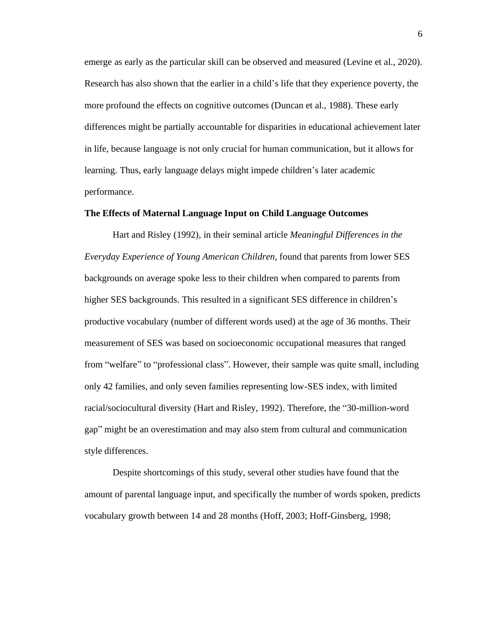emerge as early as the particular skill can be observed and measured (Levine et al., 2020). Research has also shown that the earlier in a child's life that they experience poverty, the more profound the effects on cognitive outcomes (Duncan et al., 1988). These early differences might be partially accountable for disparities in educational achievement later in life, because language is not only crucial for human communication, but it allows for learning. Thus, early language delays might impede children's later academic performance.

# **The Effects of Maternal Language Input on Child Language Outcomes**

Hart and Risley (1992), in their seminal article *Meaningful Differences in the Everyday Experience of Young American Children,* found that parents from lower SES backgrounds on average spoke less to their children when compared to parents from higher SES backgrounds. This resulted in a significant SES difference in children's productive vocabulary (number of different words used) at the age of 36 months. Their measurement of SES was based on socioeconomic occupational measures that ranged from "welfare" to "professional class". However, their sample was quite small, including only 42 families, and only seven families representing low-SES index, with limited racial/sociocultural diversity (Hart and Risley, 1992). Therefore, the "30-million-word gap" might be an overestimation and may also stem from cultural and communication style differences.

Despite shortcomings of this study, several other studies have found that the amount of parental language input, and specifically the number of words spoken, predicts vocabulary growth between 14 and 28 months (Hoff, 2003; Hoff-Ginsberg, 1998;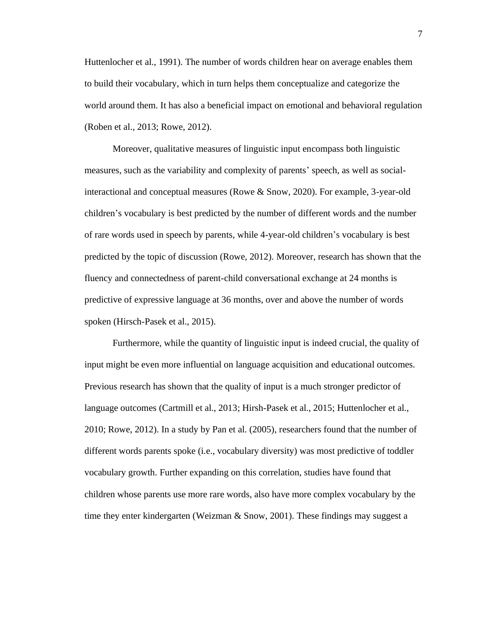Huttenlocher et al., 1991). The number of words children hear on average enables them to build their vocabulary, which in turn helps them conceptualize and categorize the world around them. It has also a beneficial impact on emotional and behavioral regulation (Roben et al., 2013; Rowe, 2012).

Moreover, qualitative measures of linguistic input encompass both linguistic measures, such as the variability and complexity of parents' speech, as well as socialinteractional and conceptual measures (Rowe & Snow, 2020). For example, 3-year-old children's vocabulary is best predicted by the number of different words and the number of rare words used in speech by parents, while 4-year-old children's vocabulary is best predicted by the topic of discussion (Rowe, 2012). Moreover, research has shown that the fluency and connectedness of parent-child conversational exchange at 24 months is predictive of expressive language at 36 months, over and above the number of words spoken (Hirsch-Pasek et al., 2015).

Furthermore, while the quantity of linguistic input is indeed crucial, the quality of input might be even more influential on language acquisition and educational outcomes. Previous research has shown that the quality of input is a much stronger predictor of language outcomes (Cartmill et al., 2013; Hirsh-Pasek et al., 2015; Huttenlocher et al., 2010; Rowe, 2012). In a study by Pan et al. (2005), researchers found that the number of different words parents spoke (i.e., vocabulary diversity) was most predictive of toddler vocabulary growth. Further expanding on this correlation, studies have found that children whose parents use more rare words, also have more complex vocabulary by the time they enter kindergarten (Weizman & Snow, 2001). These findings may suggest a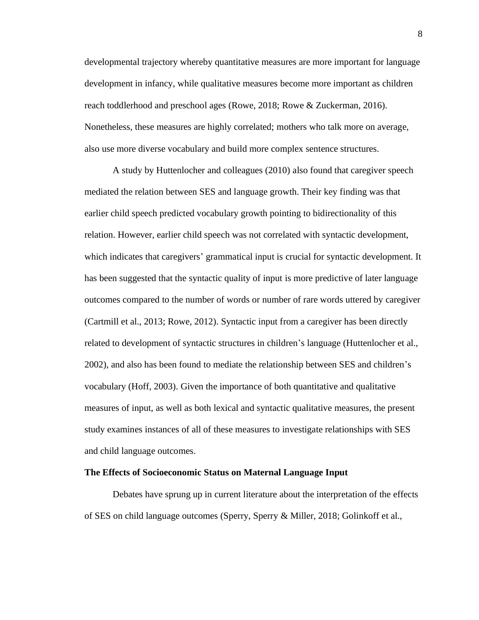developmental trajectory whereby quantitative measures are more important for language development in infancy, while qualitative measures become more important as children reach toddlerhood and preschool ages (Rowe, 2018; Rowe & Zuckerman, 2016). Nonetheless, these measures are highly correlated; mothers who talk more on average, also use more diverse vocabulary and build more complex sentence structures.

A study by Huttenlocher and colleagues (2010) also found that caregiver speech mediated the relation between SES and language growth. Their key finding was that earlier child speech predicted vocabulary growth pointing to bidirectionality of this relation. However, earlier child speech was not correlated with syntactic development, which indicates that caregivers' grammatical input is crucial for syntactic development. It has been suggested that the syntactic quality of input is more predictive of later language outcomes compared to the number of words or number of rare words uttered by caregiver (Cartmill et al., 2013; Rowe, 2012). Syntactic input from a caregiver has been directly related to development of syntactic structures in children's language (Huttenlocher et al., 2002), and also has been found to mediate the relationship between SES and children's vocabulary (Hoff, 2003). Given the importance of both quantitative and qualitative measures of input, as well as both lexical and syntactic qualitative measures, the present study examines instances of all of these measures to investigate relationships with SES and child language outcomes.

#### **The Effects of Socioeconomic Status on Maternal Language Input**

Debates have sprung up in current literature about the interpretation of the effects of SES on child language outcomes (Sperry, Sperry & Miller, 2018; Golinkoff et al.,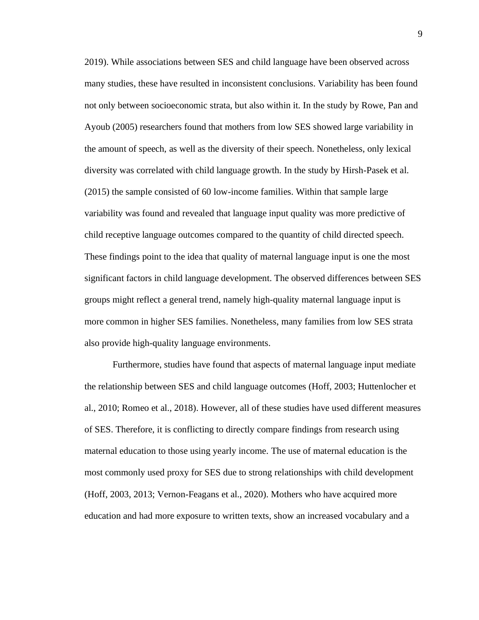2019). While associations between SES and child language have been observed across many studies, these have resulted in inconsistent conclusions. Variability has been found not only between socioeconomic strata, but also within it. In the study by Rowe, Pan and Ayoub (2005) researchers found that mothers from low SES showed large variability in the amount of speech, as well as the diversity of their speech. Nonetheless, only lexical diversity was correlated with child language growth. In the study by Hirsh-Pasek et al. (2015) the sample consisted of 60 low-income families. Within that sample large variability was found and revealed that language input quality was more predictive of child receptive language outcomes compared to the quantity of child directed speech. These findings point to the idea that quality of maternal language input is one the most significant factors in child language development. The observed differences between SES groups might reflect a general trend, namely high-quality maternal language input is more common in higher SES families. Nonetheless, many families from low SES strata also provide high-quality language environments.

Furthermore, studies have found that aspects of maternal language input mediate the relationship between SES and child language outcomes (Hoff, 2003; Huttenlocher et al., 2010; Romeo et al., 2018). However, all of these studies have used different measures of SES. Therefore, it is conflicting to directly compare findings from research using maternal education to those using yearly income. The use of maternal education is the most commonly used proxy for SES due to strong relationships with child development (Hoff, 2003, 2013; Vernon-Feagans et al., 2020). Mothers who have acquired more education and had more exposure to written texts, show an increased vocabulary and a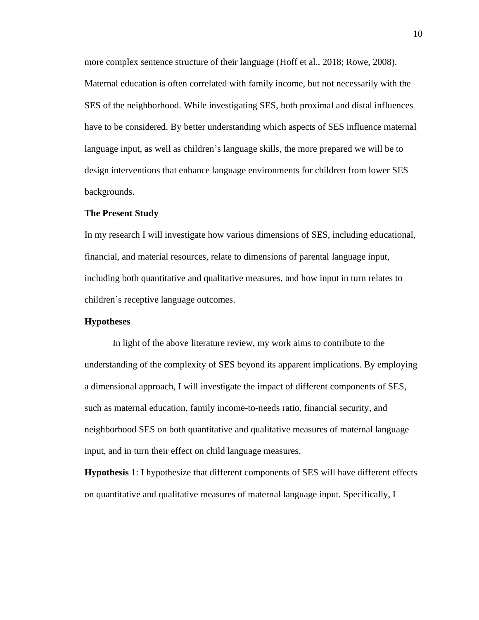more complex sentence structure of their language (Hoff et al., 2018; Rowe, 2008). Maternal education is often correlated with family income, but not necessarily with the SES of the neighborhood. While investigating SES, both proximal and distal influences have to be considered. By better understanding which aspects of SES influence maternal language input, as well as children's language skills, the more prepared we will be to design interventions that enhance language environments for children from lower SES backgrounds.

## **The Present Study**

In my research I will investigate how various dimensions of SES, including educational, financial, and material resources, relate to dimensions of parental language input, including both quantitative and qualitative measures, and how input in turn relates to children's receptive language outcomes.

#### **Hypotheses**

In light of the above literature review, my work aims to contribute to the understanding of the complexity of SES beyond its apparent implications. By employing a dimensional approach, I will investigate the impact of different components of SES, such as maternal education, family income-to-needs ratio, financial security, and neighborhood SES on both quantitative and qualitative measures of maternal language input, and in turn their effect on child language measures.

**Hypothesis 1**: I hypothesize that different components of SES will have different effects on quantitative and qualitative measures of maternal language input. Specifically, I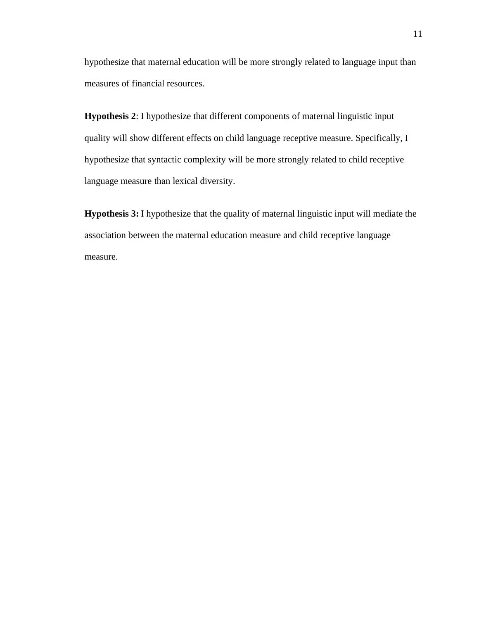hypothesize that maternal education will be more strongly related to language input than measures of financial resources.

**Hypothesis 2**: I hypothesize that different components of maternal linguistic input quality will show different effects on child language receptive measure. Specifically, I hypothesize that syntactic complexity will be more strongly related to child receptive language measure than lexical diversity.

**Hypothesis 3:** I hypothesize that the quality of maternal linguistic input will mediate the association between the maternal education measure and child receptive language measure.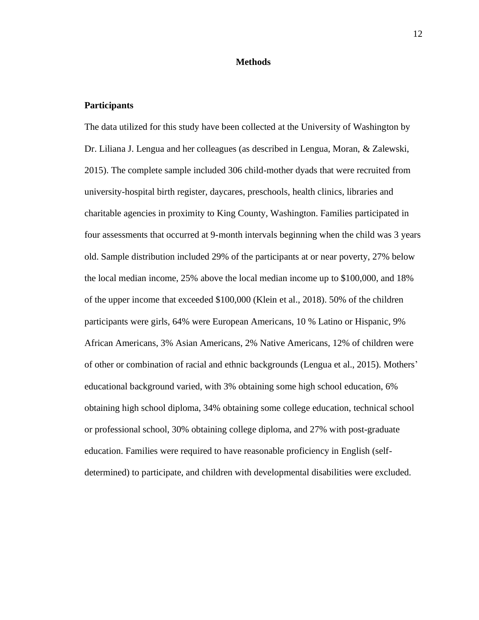#### **Methods**

# <span id="page-20-0"></span>**Participants**

The data utilized for this study have been collected at the University of Washington by Dr. Liliana J. Lengua and her colleagues (as described in Lengua, Moran, & Zalewski, 2015). The complete sample included 306 child-mother dyads that were recruited from university-hospital birth register, daycares, preschools, health clinics, libraries and charitable agencies in proximity to King County, Washington. Families participated in four assessments that occurred at 9-month intervals beginning when the child was 3 years old. Sample distribution included 29% of the participants at or near poverty, 27% below the local median income, 25% above the local median income up to \$100,000, and 18% of the upper income that exceeded \$100,000 (Klein et al., 2018). 50% of the children participants were girls, 64% were European Americans, 10 % Latino or Hispanic, 9% African Americans, 3% Asian Americans, 2% Native Americans, 12% of children were of other or combination of racial and ethnic backgrounds (Lengua et al., 2015). Mothers' educational background varied, with 3% obtaining some high school education, 6% obtaining high school diploma, 34% obtaining some college education, technical school or professional school, 30% obtaining college diploma, and 27% with post-graduate education. Families were required to have reasonable proficiency in English (selfdetermined) to participate, and children with developmental disabilities were excluded.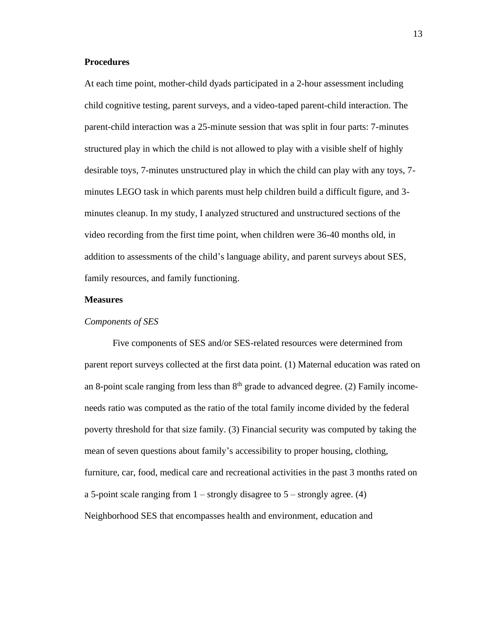# **Procedures**

At each time point, mother-child dyads participated in a 2-hour assessment including child cognitive testing, parent surveys, and a video-taped parent-child interaction. The parent-child interaction was a 25-minute session that was split in four parts: 7-minutes structured play in which the child is not allowed to play with a visible shelf of highly desirable toys, 7-minutes unstructured play in which the child can play with any toys, 7 minutes LEGO task in which parents must help children build a difficult figure, and 3 minutes cleanup. In my study, I analyzed structured and unstructured sections of the video recording from the first time point, when children were 36-40 months old, in addition to assessments of the child's language ability, and parent surveys about SES, family resources, and family functioning.

# **Measures**

#### *Components of SES*

Five components of SES and/or SES-related resources were determined from parent report surveys collected at the first data point. (1) Maternal education was rated on an 8-point scale ranging from less than  $8<sup>th</sup>$  grade to advanced degree. (2) Family incomeneeds ratio was computed as the ratio of the total family income divided by the federal poverty threshold for that size family. (3) Financial security was computed by taking the mean of seven questions about family's accessibility to proper housing, clothing, furniture, car, food, medical care and recreational activities in the past 3 months rated on a 5-point scale ranging from  $1$  – strongly disagree to  $5$  – strongly agree. (4) Neighborhood SES that encompasses health and environment, education and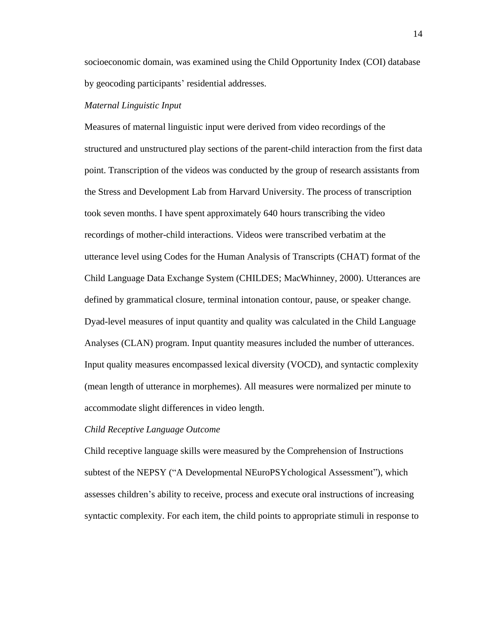socioeconomic domain, was examined using the Child Opportunity Index (COI) database by geocoding participants' residential addresses.

#### *Maternal Linguistic Input*

Measures of maternal linguistic input were derived from video recordings of the structured and unstructured play sections of the parent-child interaction from the first data point. Transcription of the videos was conducted by the group of research assistants from the Stress and Development Lab from Harvard University. The process of transcription took seven months. I have spent approximately 640 hours transcribing the video recordings of mother-child interactions. Videos were transcribed verbatim at the utterance level using Codes for the Human Analysis of Transcripts (CHAT) format of the Child Language Data Exchange System (CHILDES; MacWhinney, 2000). Utterances are defined by grammatical closure, terminal intonation contour, pause, or speaker change. Dyad-level measures of input quantity and quality was calculated in the Child Language Analyses (CLAN) program. Input quantity measures included the number of utterances. Input quality measures encompassed lexical diversity (VOCD), and syntactic complexity (mean length of utterance in morphemes). All measures were normalized per minute to accommodate slight differences in video length.

## *Child Receptive Language Outcome*

Child receptive language skills were measured by the Comprehension of Instructions subtest of the NEPSY ("A Developmental NEuroPSYchological Assessment"), which assesses children's ability to receive, process and execute oral instructions of increasing syntactic complexity. For each item, the child points to appropriate stimuli in response to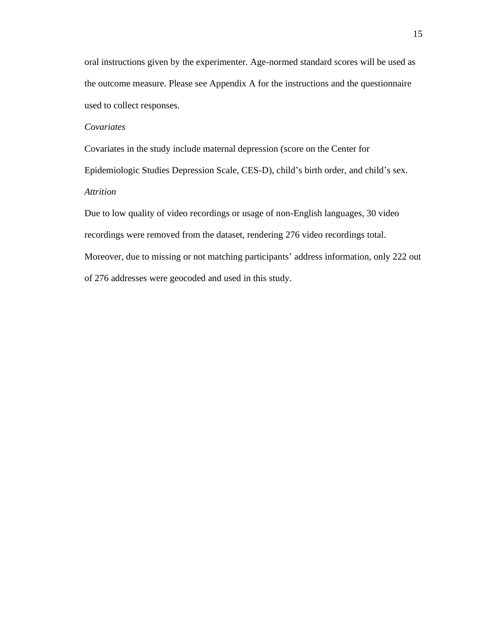oral instructions given by the experimenter. Age-normed standard scores will be used as the outcome measure. Please see Appendix A for the instructions and the questionnaire used to collect responses.

# *Covariates*

Covariates in the study include maternal depression (score on the Center for Epidemiologic Studies Depression Scale, CES-D), child's birth order, and child's sex. *Attrition*

Due to low quality of video recordings or usage of non-English languages, 30 video recordings were removed from the dataset, rendering 276 video recordings total. Moreover, due to missing or not matching participants' address information, only 222 out of 276 addresses were geocoded and used in this study.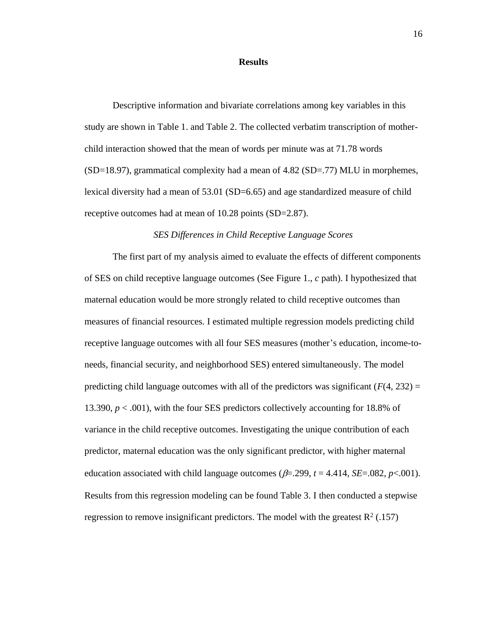#### **Results**

<span id="page-24-0"></span>Descriptive information and bivariate correlations among key variables in this study are shown in Table 1. and Table 2. The collected verbatim transcription of motherchild interaction showed that the mean of words per minute was at 71.78 words (SD=18.97), grammatical complexity had a mean of 4.82 (SD=.77) MLU in morphemes, lexical diversity had a mean of 53.01 (SD=6.65) and age standardized measure of child receptive outcomes had at mean of 10.28 points (SD=2.87).

#### *SES Differences in Child Receptive Language Scores*

The first part of my analysis aimed to evaluate the effects of different components of SES on child receptive language outcomes (See Figure 1., *c* path). I hypothesized that maternal education would be more strongly related to child receptive outcomes than measures of financial resources. I estimated multiple regression models predicting child receptive language outcomes with all four SES measures (mother's education, income-toneeds, financial security, and neighborhood SES) entered simultaneously. The model predicting child language outcomes with all of the predictors was significant  $(F(4, 232) =$ 13.390, *p* < .001), with the four SES predictors collectively accounting for 18.8% of variance in the child receptive outcomes. Investigating the unique contribution of each predictor, maternal education was the only significant predictor, with higher maternal education associated with child language outcomes ( $\beta$ =.299,  $t$  = 4.414, *SE*=.082,  $p$ <.001). Results from this regression modeling can be found Table 3. I then conducted a stepwise regression to remove insignificant predictors. The model with the greatest  $R^2$  (.157)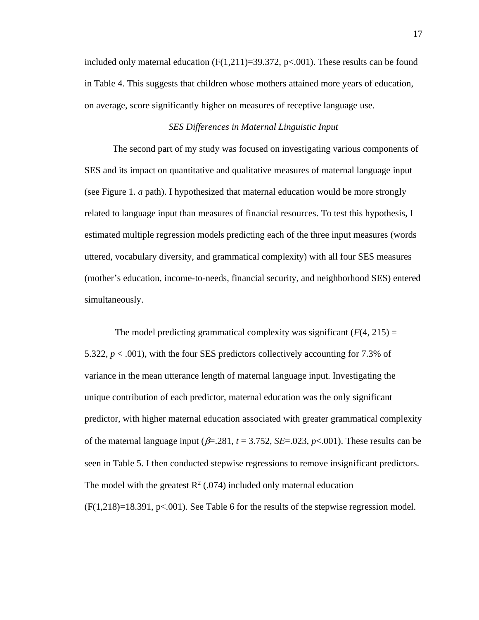included only maternal education  $(F(1,211)=39.372, p<0.001)$ . These results can be found in Table 4. This suggests that children whose mothers attained more years of education, on average, score significantly higher on measures of receptive language use.

# *SES Differences in Maternal Linguistic Input*

The second part of my study was focused on investigating various components of SES and its impact on quantitative and qualitative measures of maternal language input (see Figure 1. *a* path). I hypothesized that maternal education would be more strongly related to language input than measures of financial resources. To test this hypothesis, I estimated multiple regression models predicting each of the three input measures (words uttered, vocabulary diversity, and grammatical complexity) with all four SES measures (mother's education, income-to-needs, financial security, and neighborhood SES) entered simultaneously.

The model predicting grammatical complexity was significant  $(F(4, 215) =$ 5.322,  $p < .001$ ), with the four SES predictors collectively accounting for 7.3% of variance in the mean utterance length of maternal language input. Investigating the unique contribution of each predictor, maternal education was the only significant predictor, with higher maternal education associated with greater grammatical complexity of the maternal language input ( $\beta$ =.281,  $t$  = 3.752, *SE*=.023,  $p$ <.001). These results can be seen in Table 5. I then conducted stepwise regressions to remove insignificant predictors. The model with the greatest  $R^2$  (.074) included only maternal education  $(F(1,218)=18.391, p<0.001)$ . See Table 6 for the results of the stepwise regression model.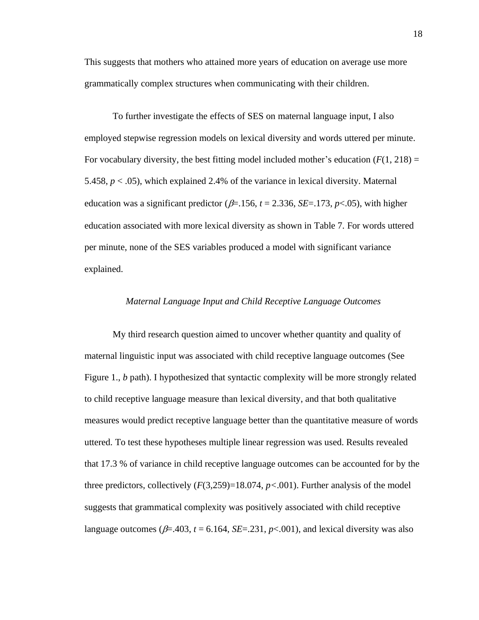This suggests that mothers who attained more years of education on average use more grammatically complex structures when communicating with their children.

To further investigate the effects of SES on maternal language input, I also employed stepwise regression models on lexical diversity and words uttered per minute. For vocabulary diversity, the best fitting model included mother's education  $(F(1, 218)) =$ 5.458, *p* < .05), which explained 2.4% of the variance in lexical diversity. Maternal education was a significant predictor ( $\beta$ =.156,  $t$  = 2.336, *SE*=.173,  $p$ <.05), with higher education associated with more lexical diversity as shown in Table 7. For words uttered per minute, none of the SES variables produced a model with significant variance explained.

# *Maternal Language Input and Child Receptive Language Outcomes*

My third research question aimed to uncover whether quantity and quality of maternal linguistic input was associated with child receptive language outcomes (See Figure 1., *b* path). I hypothesized that syntactic complexity will be more strongly related to child receptive language measure than lexical diversity, and that both qualitative measures would predict receptive language better than the quantitative measure of words uttered. To test these hypotheses multiple linear regression was used. Results revealed that 17.3 % of variance in child receptive language outcomes can be accounted for by the three predictors, collectively  $(F(3,259)=18.074, p<0.001)$ . Further analysis of the model suggests that grammatical complexity was positively associated with child receptive language outcomes ( $\beta$ =.403,  $t$  = 6.164, *SE*=.231,  $p$ <.001), and lexical diversity was also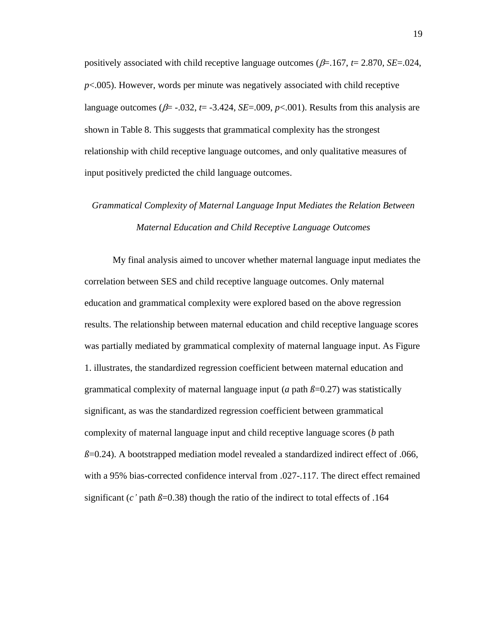positively associated with child receptive language outcomes ( $\beta$ =.167,  $t$  = 2.870, *SE*=.024, *p*<.005). However, words per minute was negatively associated with child receptive language outcomes ( $\beta$ = -.032,  $t$ = -3.424, *SE*=.009,  $p$ <.001). Results from this analysis are shown in Table 8. This suggests that grammatical complexity has the strongest relationship with child receptive language outcomes, and only qualitative measures of input positively predicted the child language outcomes.

# *Grammatical Complexity of Maternal Language Input Mediates the Relation Between Maternal Education and Child Receptive Language Outcomes*

My final analysis aimed to uncover whether maternal language input mediates the correlation between SES and child receptive language outcomes. Only maternal education and grammatical complexity were explored based on the above regression results. The relationship between maternal education and child receptive language scores was partially mediated by grammatical complexity of maternal language input. As Figure 1. illustrates, the standardized regression coefficient between maternal education and grammatical complexity of maternal language input ( $a$  path  $\beta$ =0.27) was statistically significant, as was the standardized regression coefficient between grammatical complexity of maternal language input and child receptive language scores (*b* path  $\beta$ =0.24). A bootstrapped mediation model revealed a standardized indirect effect of .066, with a 95% bias-corrected confidence interval from .027-.117. The direct effect remained significant (*c*' path  $\beta$ =0.38) though the ratio of the indirect to total effects of .164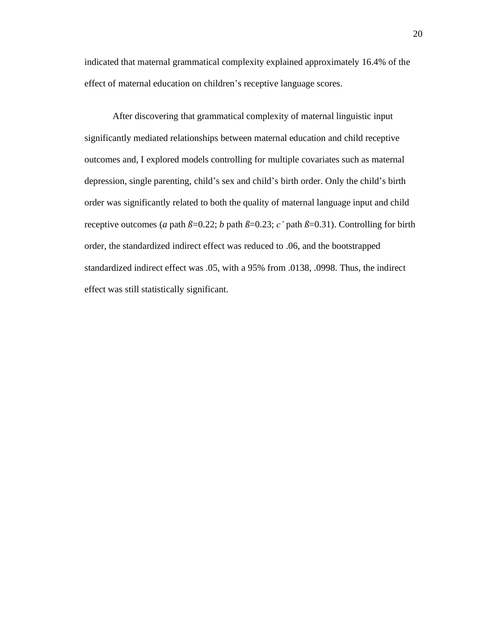indicated that maternal grammatical complexity explained approximately 16.4% of the effect of maternal education on children's receptive language scores.

<span id="page-28-0"></span>After discovering that grammatical complexity of maternal linguistic input significantly mediated relationships between maternal education and child receptive outcomes and, I explored models controlling for multiple covariates such as maternal depression, single parenting, child's sex and child's birth order. Only the child's birth order was significantly related to both the quality of maternal language input and child receptive outcomes (*a* path  $\beta$ =0.22; *b* path  $\beta$ =0.23; *c'* path  $\beta$ =0.31). Controlling for birth order, the standardized indirect effect was reduced to .06, and the bootstrapped standardized indirect effect was .05, with a 95% from .0138, .0998. Thus, the indirect effect was still statistically significant.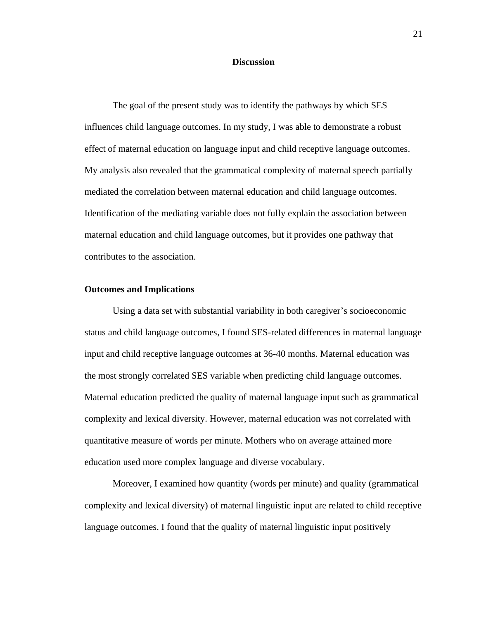### **Discussion**

The goal of the present study was to identify the pathways by which SES influences child language outcomes. In my study, I was able to demonstrate a robust effect of maternal education on language input and child receptive language outcomes. My analysis also revealed that the grammatical complexity of maternal speech partially mediated the correlation between maternal education and child language outcomes. Identification of the mediating variable does not fully explain the association between maternal education and child language outcomes, but it provides one pathway that contributes to the association.

## **Outcomes and Implications**

Using a data set with substantial variability in both caregiver's socioeconomic status and child language outcomes, I found SES-related differences in maternal language input and child receptive language outcomes at 36-40 months. Maternal education was the most strongly correlated SES variable when predicting child language outcomes. Maternal education predicted the quality of maternal language input such as grammatical complexity and lexical diversity. However, maternal education was not correlated with quantitative measure of words per minute. Mothers who on average attained more education used more complex language and diverse vocabulary.

Moreover, I examined how quantity (words per minute) and quality (grammatical complexity and lexical diversity) of maternal linguistic input are related to child receptive language outcomes. I found that the quality of maternal linguistic input positively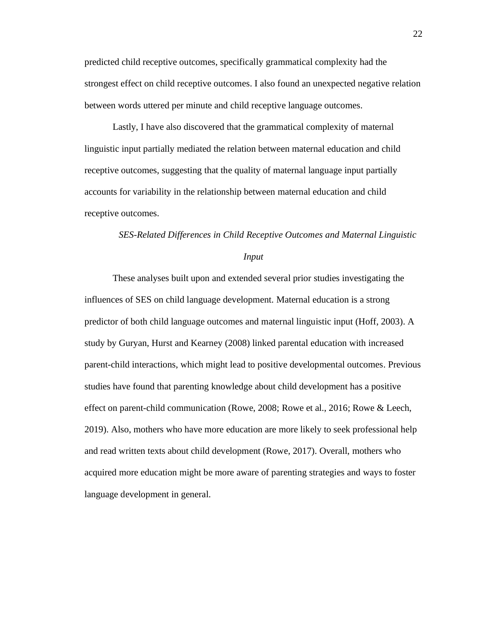predicted child receptive outcomes, specifically grammatical complexity had the strongest effect on child receptive outcomes. I also found an unexpected negative relation between words uttered per minute and child receptive language outcomes.

Lastly, I have also discovered that the grammatical complexity of maternal linguistic input partially mediated the relation between maternal education and child receptive outcomes, suggesting that the quality of maternal language input partially accounts for variability in the relationship between maternal education and child receptive outcomes.

#### *SES-Related Differences in Child Receptive Outcomes and Maternal Linguistic*

#### *Input*

These analyses built upon and extended several prior studies investigating the influences of SES on child language development. Maternal education is a strong predictor of both child language outcomes and maternal linguistic input (Hoff, 2003). A study by Guryan, Hurst and Kearney (2008) linked parental education with increased parent-child interactions, which might lead to positive developmental outcomes. Previous studies have found that parenting knowledge about child development has a positive effect on parent-child communication (Rowe, 2008; Rowe et al., 2016; Rowe & Leech, 2019). Also, mothers who have more education are more likely to seek professional help and read written texts about child development (Rowe, 2017). Overall, mothers who acquired more education might be more aware of parenting strategies and ways to foster language development in general.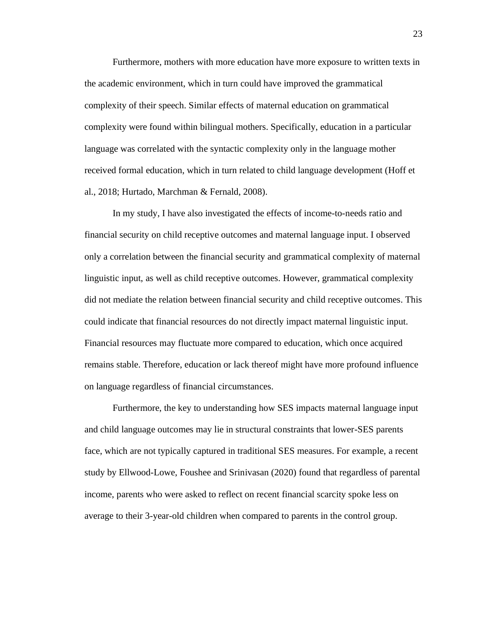Furthermore, mothers with more education have more exposure to written texts in the academic environment, which in turn could have improved the grammatical complexity of their speech. Similar effects of maternal education on grammatical complexity were found within bilingual mothers. Specifically, education in a particular language was correlated with the syntactic complexity only in the language mother received formal education, which in turn related to child language development (Hoff et al., 2018; Hurtado, Marchman & Fernald, 2008).

In my study, I have also investigated the effects of income-to-needs ratio and financial security on child receptive outcomes and maternal language input. I observed only a correlation between the financial security and grammatical complexity of maternal linguistic input, as well as child receptive outcomes. However, grammatical complexity did not mediate the relation between financial security and child receptive outcomes. This could indicate that financial resources do not directly impact maternal linguistic input. Financial resources may fluctuate more compared to education, which once acquired remains stable. Therefore, education or lack thereof might have more profound influence on language regardless of financial circumstances.

Furthermore, the key to understanding how SES impacts maternal language input and child language outcomes may lie in structural constraints that lower-SES parents face, which are not typically captured in traditional SES measures. For example, a recent study by Ellwood-Lowe, Foushee and Srinivasan (2020) found that regardless of parental income, parents who were asked to reflect on recent financial scarcity spoke less on average to their 3-year-old children when compared to parents in the control group.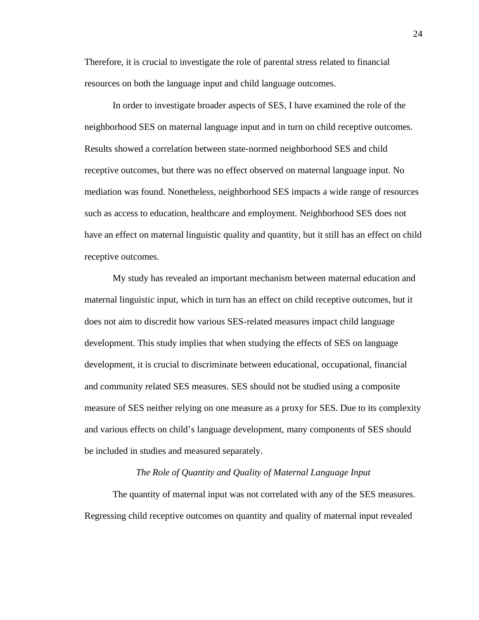Therefore, it is crucial to investigate the role of parental stress related to financial resources on both the language input and child language outcomes.

In order to investigate broader aspects of SES, I have examined the role of the neighborhood SES on maternal language input and in turn on child receptive outcomes. Results showed a correlation between state-normed neighborhood SES and child receptive outcomes, but there was no effect observed on maternal language input. No mediation was found. Nonetheless, neighborhood SES impacts a wide range of resources such as access to education, healthcare and employment. Neighborhood SES does not have an effect on maternal linguistic quality and quantity, but it still has an effect on child receptive outcomes.

My study has revealed an important mechanism between maternal education and maternal linguistic input, which in turn has an effect on child receptive outcomes, but it does not aim to discredit how various SES-related measures impact child language development. This study implies that when studying the effects of SES on language development, it is crucial to discriminate between educational, occupational, financial and community related SES measures. SES should not be studied using a composite measure of SES neither relying on one measure as a proxy for SES. Due to its complexity and various effects on child's language development, many components of SES should be included in studies and measured separately.

#### *The Role of Quantity and Quality of Maternal Language Input*

The quantity of maternal input was not correlated with any of the SES measures. Regressing child receptive outcomes on quantity and quality of maternal input revealed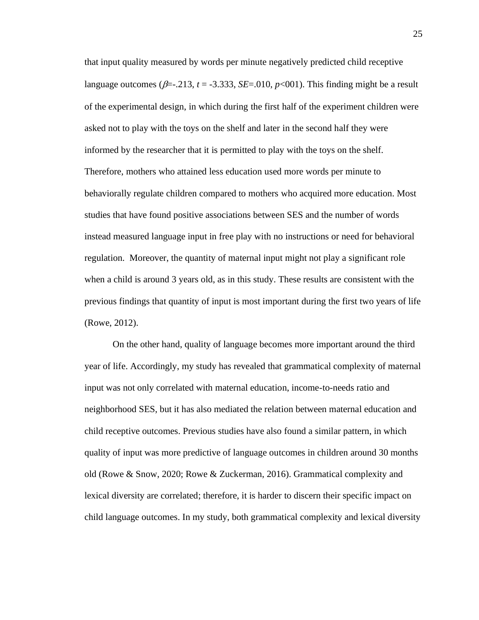that input quality measured by words per minute negatively predicted child receptive language outcomes ( $\beta$ =-.213,  $t$  = -3.333, *SE*=.010,  $p$ <001). This finding might be a result of the experimental design, in which during the first half of the experiment children were asked not to play with the toys on the shelf and later in the second half they were informed by the researcher that it is permitted to play with the toys on the shelf. Therefore, mothers who attained less education used more words per minute to behaviorally regulate children compared to mothers who acquired more education. Most studies that have found positive associations between SES and the number of words instead measured language input in free play with no instructions or need for behavioral regulation. Moreover, the quantity of maternal input might not play a significant role when a child is around 3 years old, as in this study. These results are consistent with the previous findings that quantity of input is most important during the first two years of life (Rowe, 2012).

On the other hand, quality of language becomes more important around the third year of life. Accordingly, my study has revealed that grammatical complexity of maternal input was not only correlated with maternal education, income-to-needs ratio and neighborhood SES, but it has also mediated the relation between maternal education and child receptive outcomes. Previous studies have also found a similar pattern, in which quality of input was more predictive of language outcomes in children around 30 months old (Rowe & Snow, 2020; Rowe & Zuckerman, 2016). Grammatical complexity and lexical diversity are correlated; therefore, it is harder to discern their specific impact on child language outcomes. In my study, both grammatical complexity and lexical diversity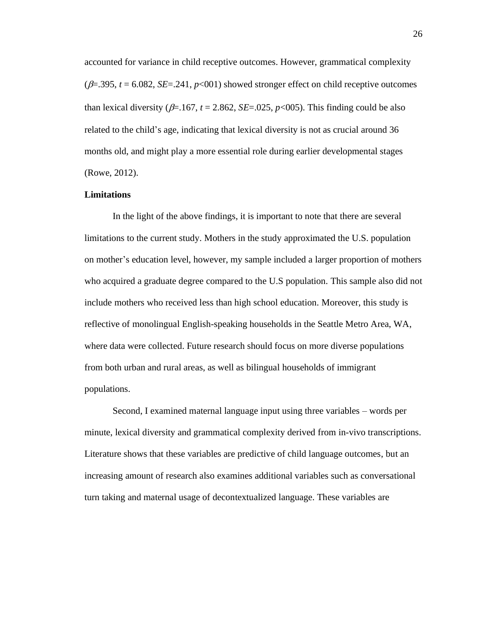accounted for variance in child receptive outcomes. However, grammatical complexity  $(\beta = 0.395, t = 6.082, SE = 0.241, p < 0.01)$  showed stronger effect on child receptive outcomes than lexical diversity ( $\beta$ =.167, *t* = 2.862, *SE*=.025, *p*<005). This finding could be also related to the child's age, indicating that lexical diversity is not as crucial around 36 months old, and might play a more essential role during earlier developmental stages (Rowe, 2012).

# **Limitations**

In the light of the above findings, it is important to note that there are several limitations to the current study. Mothers in the study approximated the U.S. population on mother's education level, however, my sample included a larger proportion of mothers who acquired a graduate degree compared to the U.S population. This sample also did not include mothers who received less than high school education. Moreover, this study is reflective of monolingual English-speaking households in the Seattle Metro Area, WA, where data were collected. Future research should focus on more diverse populations from both urban and rural areas, as well as bilingual households of immigrant populations.

Second, I examined maternal language input using three variables – words per minute, lexical diversity and grammatical complexity derived from in-vivo transcriptions. Literature shows that these variables are predictive of child language outcomes, but an increasing amount of research also examines additional variables such as conversational turn taking and maternal usage of decontextualized language. These variables are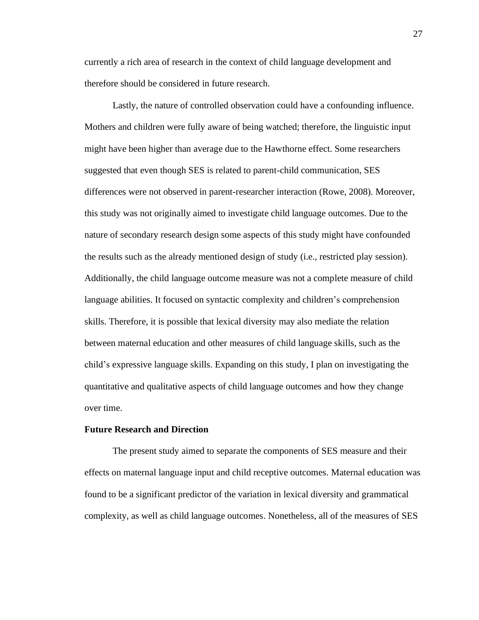currently a rich area of research in the context of child language development and therefore should be considered in future research.

Lastly, the nature of controlled observation could have a confounding influence. Mothers and children were fully aware of being watched; therefore, the linguistic input might have been higher than average due to the Hawthorne effect. Some researchers suggested that even though SES is related to parent-child communication, SES differences were not observed in parent-researcher interaction (Rowe, 2008). Moreover, this study was not originally aimed to investigate child language outcomes. Due to the nature of secondary research design some aspects of this study might have confounded the results such as the already mentioned design of study (i.e., restricted play session). Additionally, the child language outcome measure was not a complete measure of child language abilities. It focused on syntactic complexity and children's comprehension skills. Therefore, it is possible that lexical diversity may also mediate the relation between maternal education and other measures of child language skills, such as the child's expressive language skills. Expanding on this study, I plan on investigating the quantitative and qualitative aspects of child language outcomes and how they change over time.

#### **Future Research and Direction**

The present study aimed to separate the components of SES measure and their effects on maternal language input and child receptive outcomes. Maternal education was found to be a significant predictor of the variation in lexical diversity and grammatical complexity, as well as child language outcomes. Nonetheless, all of the measures of SES

27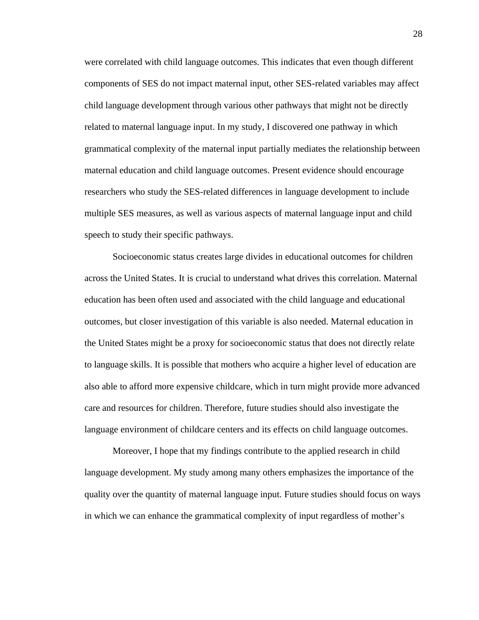were correlated with child language outcomes. This indicates that even though different components of SES do not impact maternal input, other SES-related variables may affect child language development through various other pathways that might not be directly related to maternal language input. In my study, I discovered one pathway in which grammatical complexity of the maternal input partially mediates the relationship between maternal education and child language outcomes. Present evidence should encourage researchers who study the SES-related differences in language development to include multiple SES measures, as well as various aspects of maternal language input and child speech to study their specific pathways.

Socioeconomic status creates large divides in educational outcomes for children across the United States. It is crucial to understand what drives this correlation. Maternal education has been often used and associated with the child language and educational outcomes, but closer investigation of this variable is also needed. Maternal education in the United States might be a proxy for socioeconomic status that does not directly relate to language skills. It is possible that mothers who acquire a higher level of education are also able to afford more expensive childcare, which in turn might provide more advanced care and resources for children. Therefore, future studies should also investigate the language environment of childcare centers and its effects on child language outcomes.

Moreover, I hope that my findings contribute to the applied research in child language development. My study among many others emphasizes the importance of the quality over the quantity of maternal language input. Future studies should focus on ways in which we can enhance the grammatical complexity of input regardless of mother's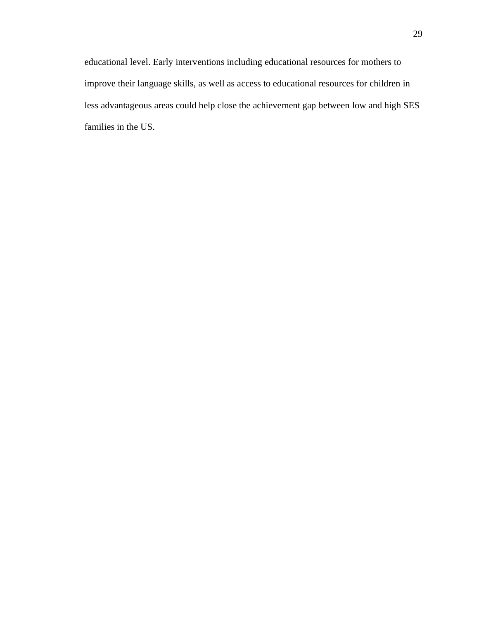educational level. Early interventions including educational resources for mothers to improve their language skills, as well as access to educational resources for children in less advantageous areas could help close the achievement gap between low and high SES families in the US.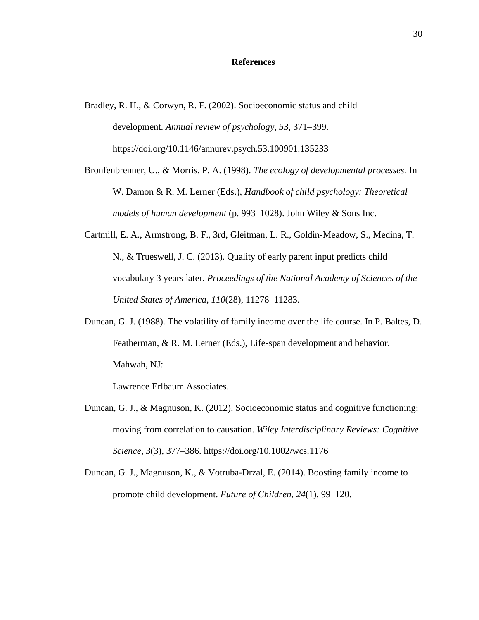#### **References**

- Bradley, R. H., & Corwyn, R. F. (2002). Socioeconomic status and child development. *Annual review of psychology*, *53*, 371–399. <https://doi.org/10.1146/annurev.psych.53.100901.135233>
- Bronfenbrenner, U., & Morris, P. A. (1998). *The ecology of developmental processes.* In W. Damon & R. M. Lerner (Eds.), *Handbook of child psychology: Theoretical models of human development* (p. 993–1028). John Wiley & Sons Inc.
- Cartmill, E. A., Armstrong, B. F., 3rd, Gleitman, L. R., Goldin-Meadow, S., Medina, T. N., & Trueswell, J. C. (2013). Quality of early parent input predicts child vocabulary 3 years later. *Proceedings of the National Academy of Sciences of the United States of America*, *110*(28), 11278–11283.
- Duncan, G. J. (1988). The volatility of family income over the life course. In P. Baltes, D. Featherman, & R. M. Lerner (Eds.), Life-span development and behavior. Mahwah, NJ:

Lawrence Erlbaum Associates.

- Duncan, G. J., & Magnuson, K. (2012). Socioeconomic status and cognitive functioning: moving from correlation to causation. *Wiley Interdisciplinary Reviews: Cognitive Science*, *3*(3), 377–386.<https://doi.org/10.1002/wcs.1176>
- Duncan, G. J., Magnuson, K., & Votruba-Drzal, E. (2014). Boosting family income to promote child development. *Future of Children*, *24*(1), 99–120.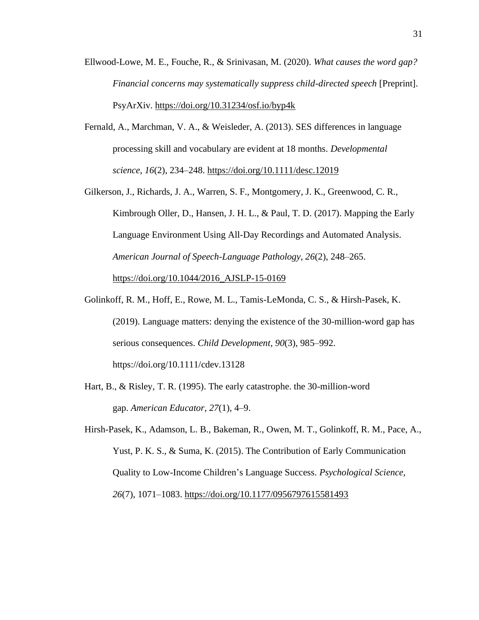- Ellwood-Lowe, M. E., Fouche, R., & Srinivasan, M. (2020). *What causes the word gap? Financial concerns may systematically suppress child-directed speech* [Preprint]. PsyArXiv.<https://doi.org/10.31234/osf.io/byp4k>
- Fernald, A., Marchman, V. A., & Weisleder, A. (2013). SES differences in language processing skill and vocabulary are evident at 18 months. *Developmental science*, *16*(2), 234–248.<https://doi.org/10.1111/desc.12019>
- Gilkerson, J., Richards, J. A., Warren, S. F., Montgomery, J. K., Greenwood, C. R., Kimbrough Oller, D., Hansen, J. H. L., & Paul, T. D. (2017). Mapping the Early Language Environment Using All-Day Recordings and Automated Analysis. *American Journal of Speech-Language Pathology*, *26*(2), 248–265. [https://doi.org/10.1044/2016\\_AJSLP-15-0169](https://doi.org/10.1044/2016_AJSLP-15-0169)
- Golinkoff, R. M., Hoff, E., Rowe, M. L., Tamis-LeMonda, C. S., & Hirsh-Pasek, K. (2019). Language matters: denying the existence of the 30-million-word gap has serious consequences. *Child Development*, *90*(3), 985–992. https://doi.org/10.1111/cdev.13128
- Hart, B., & Risley, T. R. (1995). The early catastrophe. the 30-million-word gap. *American Educator*, *27*(1), 4–9.
- Hirsh-Pasek, K., Adamson, L. B., Bakeman, R., Owen, M. T., Golinkoff, R. M., Pace, A., Yust, P. K. S., & Suma, K. (2015). The Contribution of Early Communication Quality to Low-Income Children's Language Success. *Psychological Science*, *26*(7), 1071–1083.<https://doi.org/10.1177/0956797615581493>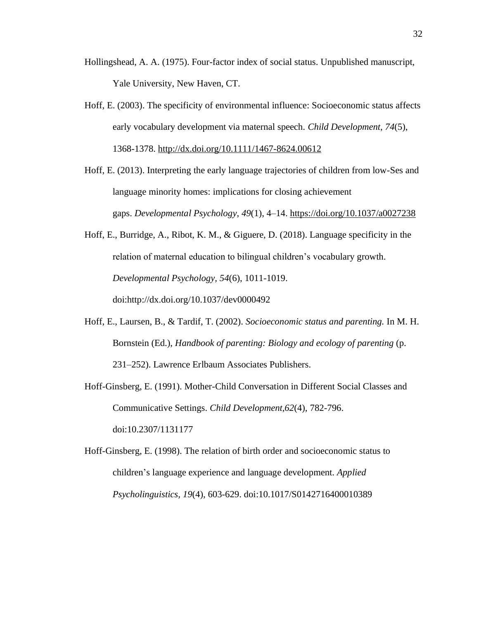- Hollingshead, A. A. (1975). Four-factor index of social status. Unpublished manuscript, Yale University, New Haven, CT.
- Hoff, E. (2003). The specificity of environmental influence: Socioeconomic status affects early vocabulary development via maternal speech. *Child Development, 74*(5), 1368-1378.<http://dx.doi.org/10.1111/1467-8624.00612>
- Hoff, E. (2013). Interpreting the early language trajectories of children from low-Ses and language minority homes: implications for closing achievement gaps. *Developmental Psychology*, *49*(1), 4–14.<https://doi.org/10.1037/a0027238>
- Hoff, E., Burridge, A., Ribot, K. M., & Giguere, D. (2018). Language specificity in the relation of maternal education to bilingual children's vocabulary growth. *Developmental Psychology, 54*(6), 1011-1019. doi:http://dx.doi.org/10.1037/dev0000492
- Hoff, E., Laursen, B., & Tardif, T. (2002). *Socioeconomic status and parenting.* In M. H. Bornstein (Ed.), *Handbook of parenting: Biology and ecology of parenting* (p. 231–252). Lawrence Erlbaum Associates Publishers.
- Hoff-Ginsberg, E. (1991). Mother-Child Conversation in Different Social Classes and Communicative Settings. *Child Development,62*(4), 782-796. doi:10.2307/1131177
- Hoff-Ginsberg, E. (1998). The relation of birth order and socioeconomic status to children's language experience and language development. *Applied Psycholinguistics, 19*(4), 603-629. doi:10.1017/S0142716400010389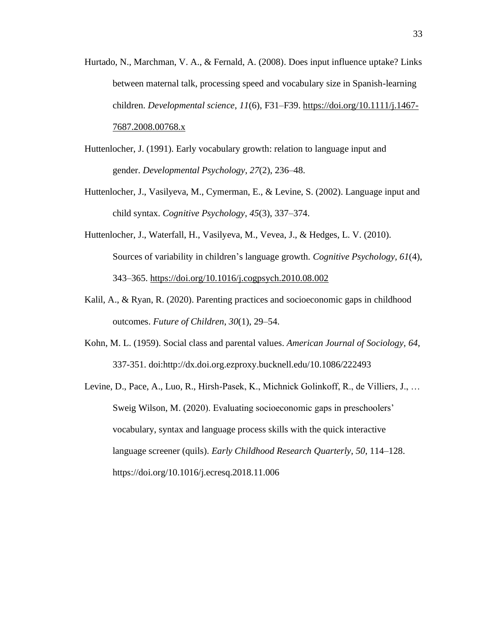- Hurtado, N., Marchman, V. A., & Fernald, A. (2008). Does input influence uptake? Links between maternal talk, processing speed and vocabulary size in Spanish-learning children. *Developmental science*, *11*(6), F31–F39. [https://doi.org/10.1111/j.1467-](https://doi.org/10.1111/j.1467-7687.2008.00768.x) [7687.2008.00768.x](https://doi.org/10.1111/j.1467-7687.2008.00768.x)
- Huttenlocher, J. (1991). Early vocabulary growth: relation to language input and gender. *Developmental Psychology*, *27*(2), 236–48.
- Huttenlocher, J., Vasilyeva, M., Cymerman, E., & Levine, S. (2002). Language input and child syntax. *Cognitive Psychology*, *45*(3), 337–374.
- Huttenlocher, J., Waterfall, H., Vasilyeva, M., Vevea, J., & Hedges, L. V. (2010). Sources of variability in children's language growth. *Cognitive Psychology*, *61*(4), 343–365.<https://doi.org/10.1016/j.cogpsych.2010.08.002>
- Kalil, A., & Ryan, R. (2020). Parenting practices and socioeconomic gaps in childhood outcomes. *Future of Children*, *30*(1), 29–54.
- Kohn, M. L. (1959). Social class and parental values. *American Journal of Sociology, 64*, 337-351. doi:http://dx.doi.org.ezproxy.bucknell.edu/10.1086/222493
- Levine, D., Pace, A., Luo, R., Hirsh-Pasek, K., Michnick Golinkoff, R., de Villiers, J., … Sweig Wilson, M. (2020). Evaluating socioeconomic gaps in preschoolers' vocabulary, syntax and language process skills with the quick interactive language screener (quils). *Early Childhood Research Quarterly*, *50*, 114–128. https://doi.org/10.1016/j.ecresq.2018.11.006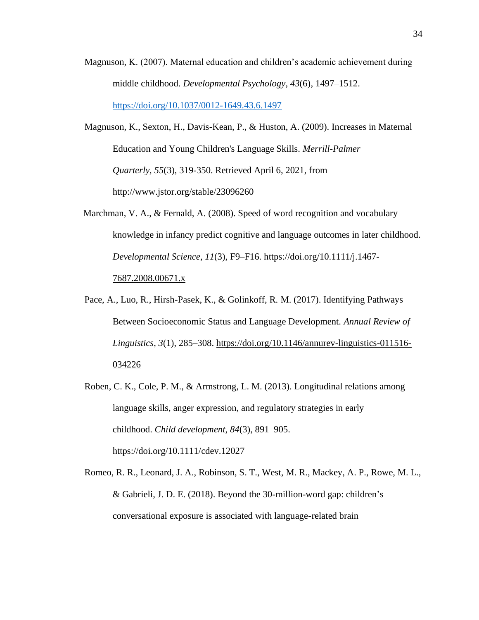- Magnuson, K. (2007). Maternal education and children's academic achievement during middle childhood. *Developmental Psychology*, *43*(6), 1497–1512. <https://doi.org/10.1037/0012-1649.43.6.1497>
- Magnuson, K., Sexton, H., Davis-Kean, P., & Huston, A. (2009). Increases in Maternal Education and Young Children's Language Skills. *Merrill-Palmer Quarterly, 55*(3), 319-350. Retrieved April 6, 2021, from http://www.jstor.org/stable/23096260
- Marchman, V. A., & Fernald, A. (2008). Speed of word recognition and vocabulary knowledge in infancy predict cognitive and language outcomes in later childhood. *Developmental Science*, *11*(3), F9–F16. [https://doi.org/10.1111/j.1467-](https://doi.org/10.1111/j.1467-7687.2008.00671.x) [7687.2008.00671.x](https://doi.org/10.1111/j.1467-7687.2008.00671.x)
- Pace, A., Luo, R., Hirsh-Pasek, K., & Golinkoff, R. M. (2017). Identifying Pathways Between Socioeconomic Status and Language Development. *Annual Review of Linguistics*, *3*(1), 285–308. [https://doi.org/10.1146/annurev-linguistics-011516-](https://doi.org/10.1146/annurev-linguistics-011516-034226) [034226](https://doi.org/10.1146/annurev-linguistics-011516-034226)
- Roben, C. K., Cole, P. M., & Armstrong, L. M. (2013). Longitudinal relations among language skills, anger expression, and regulatory strategies in early childhood. *Child development*, *84*(3), 891–905. https://doi.org/10.1111/cdev.12027
- Romeo, R. R., Leonard, J. A., Robinson, S. T., West, M. R., Mackey, A. P., Rowe, M. L., & Gabrieli, J. D. E. (2018). Beyond the 30-million-word gap: children's conversational exposure is associated with language-related brain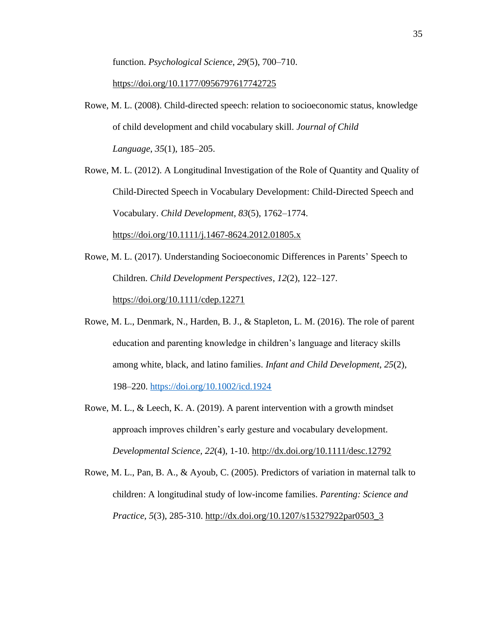function. *Psychological Science*, *29*(5), 700–710.

<https://doi.org/10.1177/0956797617742725>

- Rowe, M. L. (2008). Child-directed speech: relation to socioeconomic status, knowledge of child development and child vocabulary skill. *Journal of Child Language*, *35*(1), 185–205.
- Rowe, M. L. (2012). A Longitudinal Investigation of the Role of Quantity and Quality of Child-Directed Speech in Vocabulary Development: Child-Directed Speech and Vocabulary. *Child Development*, *83*(5), 1762–1774. <https://doi.org/10.1111/j.1467-8624.2012.01805.x>
- Rowe, M. L. (2017). Understanding Socioeconomic Differences in Parents' Speech to Children. *Child Development Perspectives*, *12*(2), 122–127. <https://doi.org/10.1111/cdep.12271>
- Rowe, M. L., Denmark, N., Harden, B. J., & Stapleton, L. M. (2016). The role of parent education and parenting knowledge in children's language and literacy skills among white, black, and latino families. *Infant and Child Development*, *25*(2), 198–220.<https://doi.org/10.1002/icd.1924>
- Rowe, M. L., & Leech, K. A. (2019). A parent intervention with a growth mindset approach improves children's early gesture and vocabulary development. *Developmental Science, 22*(4), 1-10.<http://dx.doi.org/10.1111/desc.12792>
- Rowe, M. L., Pan, B. A., & Ayoub, C. (2005). Predictors of variation in maternal talk to children: A longitudinal study of low-income families. *Parenting: Science and Practice, 5*(3), 285-310. [http://dx.doi.org/10.1207/s15327922par0503\\_3](http://dx.doi.org/10.1207/s15327922par0503_3)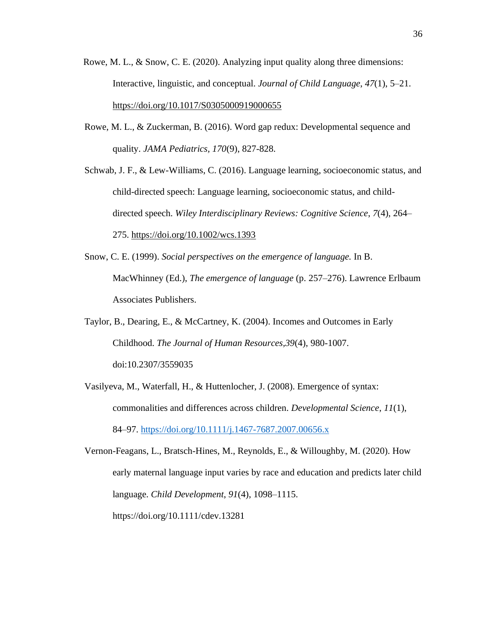- Rowe, M. L., & Snow, C. E. (2020). Analyzing input quality along three dimensions: Interactive, linguistic, and conceptual. *Journal of Child Language*, *47*(1), 5–21. <https://doi.org/10.1017/S0305000919000655>
- Rowe, M. L., & Zuckerman, B. (2016). Word gap redux: Developmental sequence and quality. *JAMA Pediatrics, 170*(9), 827-828.
- Schwab, J. F., & Lew-Williams, C. (2016). Language learning, socioeconomic status, and child-directed speech: Language learning, socioeconomic status, and childdirected speech. *Wiley Interdisciplinary Reviews: Cognitive Science*, *7*(4), 264– 275.<https://doi.org/10.1002/wcs.1393>
- Snow, C. E. (1999). *Social perspectives on the emergence of language.* In B. MacWhinney (Ed.), *The emergence of language* (p. 257–276). Lawrence Erlbaum Associates Publishers.
- Taylor, B., Dearing, E., & McCartney, K. (2004). Incomes and Outcomes in Early Childhood. *The Journal of Human Resources,39*(4), 980-1007. doi:10.2307/3559035
- Vasilyeva, M., Waterfall, H., & Huttenlocher, J. (2008). Emergence of syntax: commonalities and differences across children. *Developmental Science*, *11*(1), 84–97.<https://doi.org/10.1111/j.1467-7687.2007.00656.x>

Vernon-Feagans, L., Bratsch-Hines, M., Reynolds, E., & Willoughby, M. (2020). How early maternal language input varies by race and education and predicts later child language. *Child Development*, *91*(4), 1098–1115. https://doi.org/10.1111/cdev.13281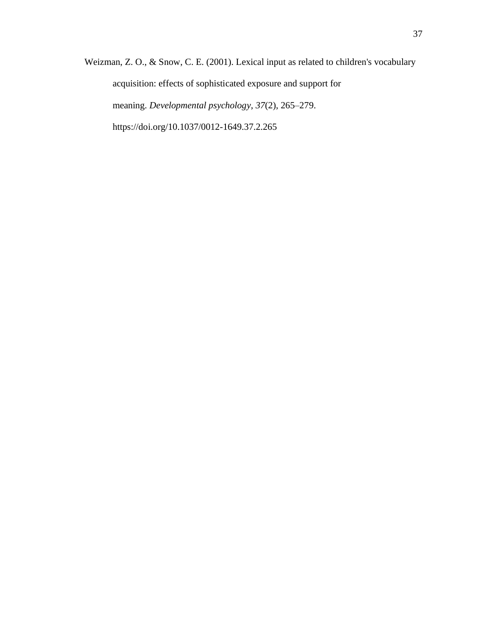Weizman, Z. O., & Snow, C. E. (2001). Lexical input as related to children's vocabulary acquisition: effects of sophisticated exposure and support for meaning. *Developmental psychology*, *37*(2), 265–279. https://doi.org/10.1037/0012-1649.37.2.265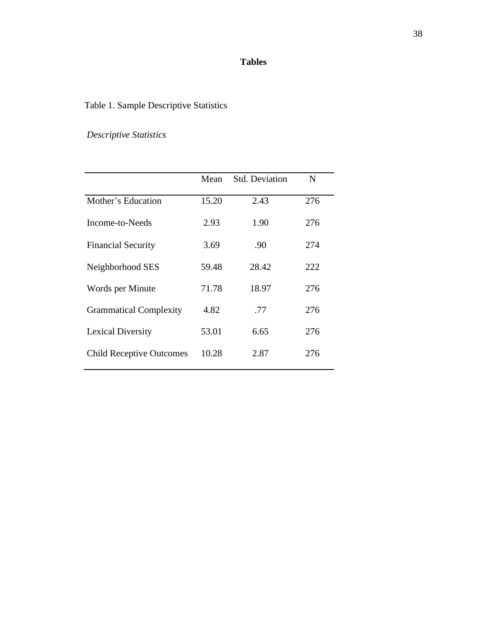## **Tables**

# Table 1. Sample Descriptive Statistics

# *Descriptive Statistics*

|                                 | Mean  | <b>Std. Deviation</b> | N   |
|---------------------------------|-------|-----------------------|-----|
| Mother's Education              | 15.20 | 2.43                  | 276 |
| Income-to-Needs                 | 2.93  | 1.90                  | 276 |
| <b>Financial Security</b>       | 3.69  | .90                   | 274 |
| Neighborhood SES                | 59.48 | 28.42                 | 222 |
| Words per Minute                | 71.78 | 18.97                 | 276 |
| <b>Grammatical Complexity</b>   | 4.82  | .77                   | 276 |
| Lexical Diversity               | 53.01 | 6.65                  | 276 |
| <b>Child Receptive Outcomes</b> | 10.28 | 2.87                  | 276 |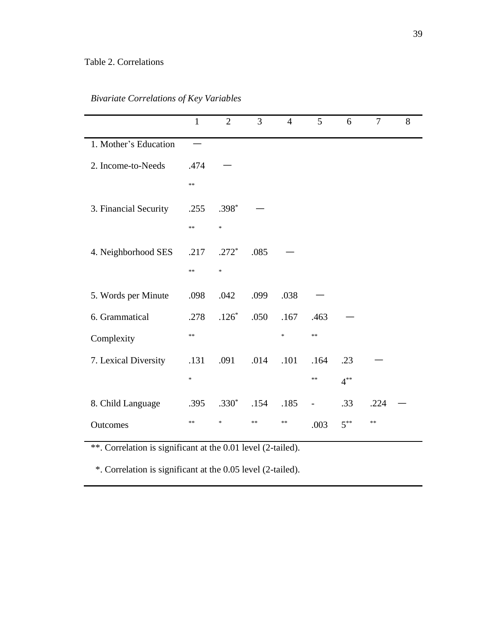## Table 2. Correlations

|                       | $\mathbf{1}$                      | $\overline{2}$                    | 3    | $\overline{4}$ | 5                        | 6        | $\overline{7}$ | 8 |
|-----------------------|-----------------------------------|-----------------------------------|------|----------------|--------------------------|----------|----------------|---|
| 1. Mother's Education |                                   |                                   |      |                |                          |          |                |   |
| 2. Income-to-Needs    | .474                              |                                   |      |                |                          |          |                |   |
|                       | $\ast$                            |                                   |      |                |                          |          |                |   |
| 3. Financial Security | .255                              | $.398*$                           |      |                |                          |          |                |   |
|                       | **                                | $\frac{1}{2}$                     |      |                |                          |          |                |   |
| 4. Neighborhood SES   | .217                              | $.272*$                           | .085 |                |                          |          |                |   |
|                       | $\ast$                            | $\ast$                            |      |                |                          |          |                |   |
| 5. Words per Minute   | .098                              | .042                              | .099 | .038           |                          |          |                |   |
| 6. Grammatical        | .278                              | $.126*$                           | .050 | .167           | .463                     |          |                |   |
| Complexity            | $**$                              |                                   |      | ×              | $\ast$                   |          |                |   |
| 7. Lexical Diversity  | .131                              | .091                              | .014 | .101           | .164                     | .23      |                |   |
|                       | $\frac{d\mathbf{x}}{d\mathbf{x}}$ |                                   |      |                | $\ast$                   | $4^{**}$ |                |   |
| 8. Child Language     | .395                              | $.330*$                           | .154 | .185           | $\overline{\phantom{0}}$ | .33      | .224           |   |
| Outcomes              | **                                | $\frac{d\mathbf{r}}{d\mathbf{r}}$ | **   | **             | .003                     | $5^{**}$ | **             |   |

\*\*. Correlation is significant at the 0.01 level (2-tailed).

\*. Correlation is significant at the 0.05 level (2-tailed).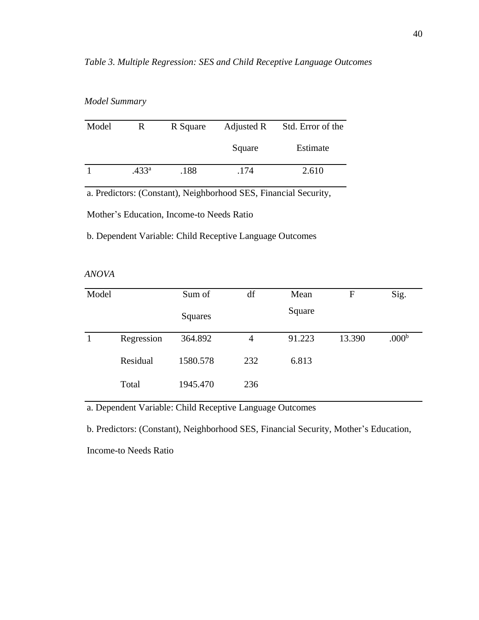| Model | R                 | R Square | Adjusted R | Std. Error of the |
|-------|-------------------|----------|------------|-------------------|
|       |                   |          | Square     | Estimate          |
|       | .433 <sup>a</sup> | .188     | .174       | 2.610             |

#### *Model Summary*

a. Predictors: (Constant), Neighborhood SES, Financial Security,

Mother's Education, Income-to Needs Ratio

b. Dependent Variable: Child Receptive Language Outcomes

|--|

| Model |            | Sum of   | df             | Mean   | F      | Sig.              |
|-------|------------|----------|----------------|--------|--------|-------------------|
|       |            | Squares  |                | Square |        |                   |
|       | Regression | 364.892  | $\overline{4}$ | 91.223 | 13.390 | .000 <sup>b</sup> |
|       | Residual   | 1580.578 | 232            | 6.813  |        |                   |
|       | Total      | 1945.470 | 236            |        |        |                   |

a. Dependent Variable: Child Receptive Language Outcomes

b. Predictors: (Constant), Neighborhood SES, Financial Security, Mother's Education,

Income-to Needs Ratio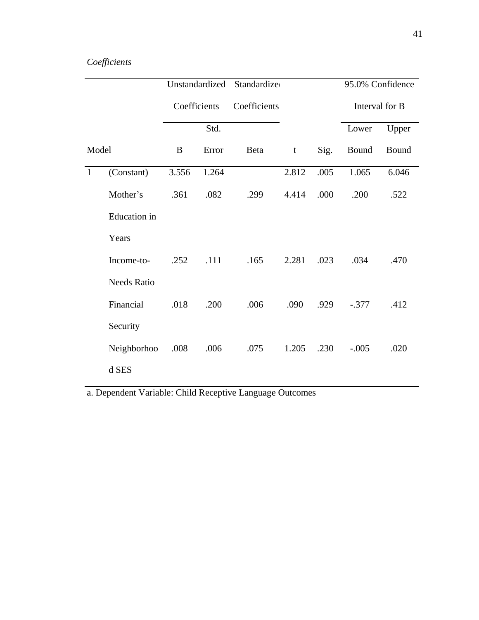# *Coefficients*

|              |                     | Unstandardized |       | Standardize  |             | 95.0% Confidence |                |       |
|--------------|---------------------|----------------|-------|--------------|-------------|------------------|----------------|-------|
|              |                     | Coefficients   |       | Coefficients |             |                  | Interval for B |       |
|              |                     |                | Std.  |              |             |                  | Lower          | Upper |
| Model        |                     | B              | Error | Beta         | $\mathbf t$ | Sig.             | Bound          | Bound |
| $\mathbf{1}$ | (Constant)          | 3.556          | 1.264 |              | 2.812       | .005             | 1.065          | 6.046 |
|              | Mother's            | .361           | .082  | .299         | 4.414       | .000             | .200           | .522  |
|              | <b>Education</b> in |                |       |              |             |                  |                |       |
|              | Years               |                |       |              |             |                  |                |       |
|              | Income-to-          | .252           | .111  | .165         | 2.281       | .023             | .034           | .470  |
|              | <b>Needs Ratio</b>  |                |       |              |             |                  |                |       |
|              | Financial           | .018           | .200  | .006         | .090        | .929             | $-.377$        | .412  |
|              | Security            |                |       |              |             |                  |                |       |
|              | Neighborhoo         | .008           | .006  | .075         | 1.205       | .230             | $-.005$        | .020  |
|              | d SES               |                |       |              |             |                  |                |       |

a. Dependent Variable: Child Receptive Language Outcomes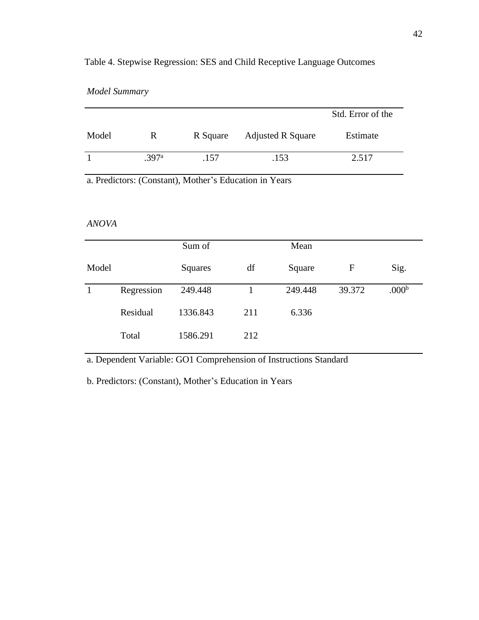### Table 4. Stepwise Regression: SES and Child Receptive Language Outcomes

|       |       |          |                          | Std. Error of the |
|-------|-------|----------|--------------------------|-------------------|
| Model | R     | R Square | <b>Adjusted R Square</b> | Estimate          |
|       | .397a | .157     | .153                     | 2.517             |

a. Predictors: (Constant), Mother's Education in Years

#### *ANOVA*

|       |            | Sum of   |     | Mean    |        |                   |
|-------|------------|----------|-----|---------|--------|-------------------|
| Model |            | Squares  | df  | Square  | F      | Sig.              |
|       | Regression | 249.448  |     | 249.448 | 39.372 | .000 <sup>b</sup> |
|       | Residual   | 1336.843 | 211 | 6.336   |        |                   |
|       | Total      | 1586.291 | 212 |         |        |                   |

a. Dependent Variable: GO1 Comprehension of Instructions Standard

b. Predictors: (Constant), Mother's Education in Years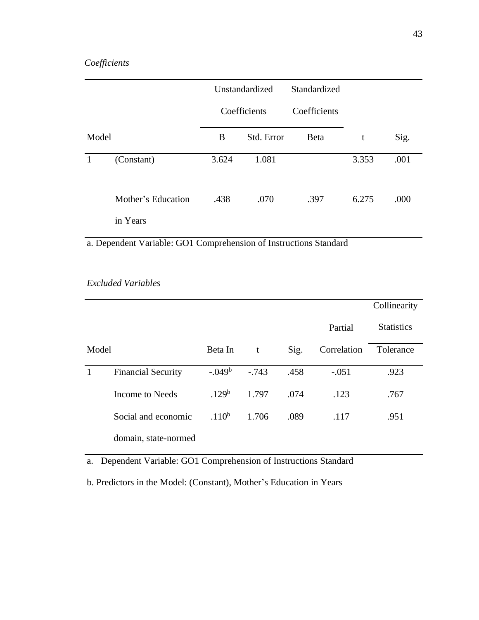## *Coefficients*

|       |                    | Unstandardized |            | Standardized |       |      |
|-------|--------------------|----------------|------------|--------------|-------|------|
|       |                    | Coefficients   |            | Coefficients |       |      |
| Model |                    | B              | Std. Error | Beta         | t     | Sig. |
| -1    | (Constant)         | 3.624          | 1.081      |              | 3.353 | .001 |
|       | Mother's Education | .438           | .070       | .397         | 6.275 | .000 |
|       | in Years           |                |            |              |       |      |

a. Dependent Variable: GO1 Comprehension of Instructions Standard

### *Excluded Variables*

|       |                           |                   |         |      |             | Collinearity      |
|-------|---------------------------|-------------------|---------|------|-------------|-------------------|
|       |                           |                   |         |      | Partial     | <b>Statistics</b> |
| Model |                           | Beta In           | t       | Sig. | Correlation | Tolerance         |
|       | <b>Financial Security</b> | $-.049b$          | $-.743$ | .458 | $-.051$     | .923              |
|       | Income to Needs           | .129 <sup>b</sup> | 1.797   | .074 | .123        | .767              |
|       | Social and economic       | .110 <sup>b</sup> | 1.706   | .089 | .117        | .951              |
|       | domain, state-normed      |                   |         |      |             |                   |

a. Dependent Variable: GO1 Comprehension of Instructions Standard

b. Predictors in the Model: (Constant), Mother's Education in Years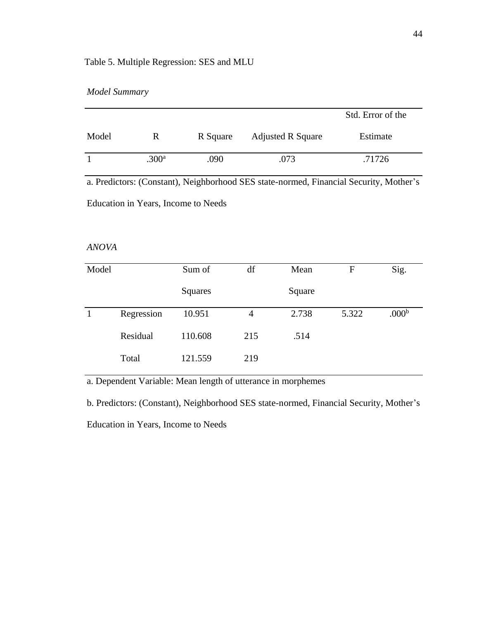### Table 5. Multiple Regression: SES and MLU

|  | <b>Model Summary</b> |
|--|----------------------|
|--|----------------------|

|       |                   |          |                          | Std. Error of the |
|-------|-------------------|----------|--------------------------|-------------------|
| Model | R                 | R Square | <b>Adjusted R Square</b> | Estimate          |
|       | .300 <sup>a</sup> | .090     | .073                     | .71726            |

a. Predictors: (Constant), Neighborhood SES state-normed, Financial Security, Mother's Education in Years, Income to Needs

#### *ANOVA*

| Model |            | Sum of  | df  | Mean   | F     | Sig.              |
|-------|------------|---------|-----|--------|-------|-------------------|
|       |            | Squares |     | Square |       |                   |
|       | Regression | 10.951  | 4   | 2.738  | 5.322 | .000 <sup>b</sup> |
|       | Residual   | 110.608 | 215 | .514   |       |                   |
|       | Total      | 121.559 | 219 |        |       |                   |

a. Dependent Variable: Mean length of utterance in morphemes

b. Predictors: (Constant), Neighborhood SES state-normed, Financial Security, Mother's Education in Years, Income to Needs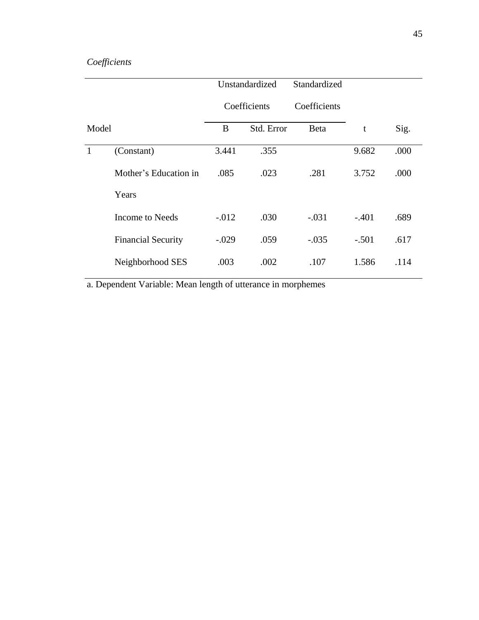# *Coefficients*

|       |                           | Unstandardized |            | Standardized |         |      |
|-------|---------------------------|----------------|------------|--------------|---------|------|
|       |                           | Coefficients   |            | Coefficients |         |      |
| Model |                           | B              | Std. Error | <b>Beta</b>  | t       | Sig. |
| -1    | (Constant)                | 3.441          | .355       |              | 9.682   | .000 |
|       | Mother's Education in     | .085           | .023       | .281         | 3.752   | .000 |
|       | Years                     |                |            |              |         |      |
|       | Income to Needs           | $-.012$        | .030       | $-.031$      | $-.401$ | .689 |
|       | <b>Financial Security</b> | $-.029$        | .059       | $-.035$      | $-.501$ | .617 |
|       | Neighborhood SES          | .003           | .002       | .107         | 1.586   | .114 |

a. Dependent Variable: Mean length of utterance in morphemes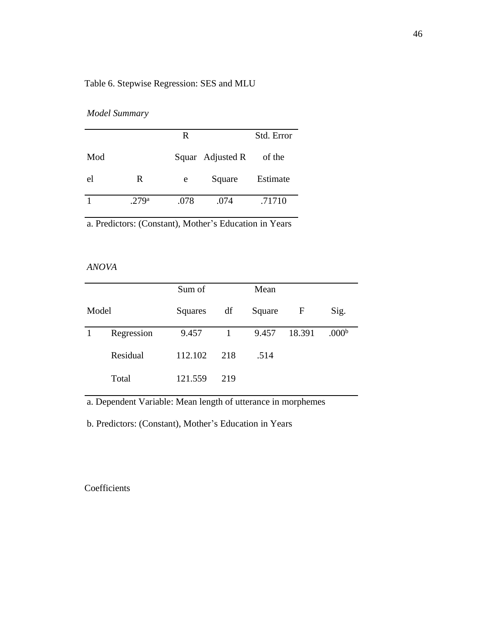## Table 6. Stepwise Regression: SES and MLU

### *Model Summary*

|     |                   | R    |                  | Std. Error |
|-----|-------------------|------|------------------|------------|
| Mod |                   |      | Squar Adjusted R | of the     |
| el  | R                 | e    | Square           | Estimate   |
|     | .279 <sup>a</sup> | .078 | .074             | .71710     |

a. Predictors: (Constant), Mother's Education in Years

#### *ANOVA*

|       |            | Sum of  |              | Mean   |        |                   |
|-------|------------|---------|--------------|--------|--------|-------------------|
| Model |            | Squares | df           | Square | F      | Sig.              |
|       | Regression | 9.457   | $\mathbf{1}$ | 9.457  | 18.391 | .000 <sup>b</sup> |
|       | Residual   | 112.102 | 218          | .514   |        |                   |
|       | Total      | 121.559 | 219          |        |        |                   |

a. Dependent Variable: Mean length of utterance in morphemes

b. Predictors: (Constant), Mother's Education in Years

## **Coefficients**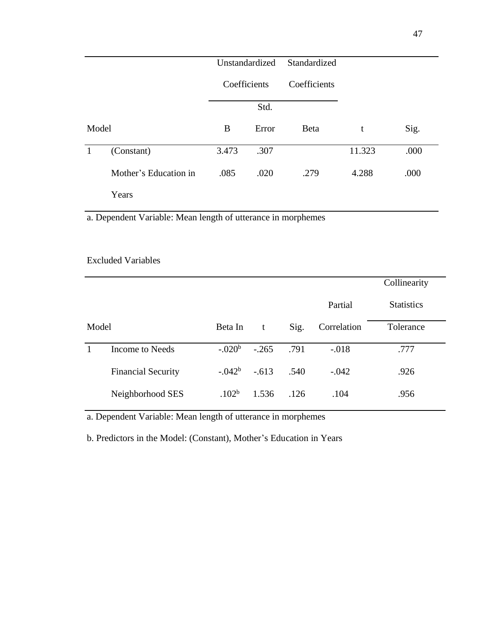|              |                       | Unstandardized |              | Standardized |        |      |
|--------------|-----------------------|----------------|--------------|--------------|--------|------|
|              |                       |                | Coefficients | Coefficients |        |      |
|              |                       | Std.           |              |              |        |      |
| Model        |                       | B              | Error        | <b>Beta</b>  | t      | Sig. |
| $\mathbf{1}$ | (Constant)            | 3.473          | .307         |              | 11.323 | .000 |
|              | Mother's Education in | .085           | .020         | .279         | 4.288  | .000 |
|              | Years                 |                |              |              |        |      |

a. Dependent Variable: Mean length of utterance in morphemes

|       |                           |                   |         |      | Collinearity |                   |
|-------|---------------------------|-------------------|---------|------|--------------|-------------------|
|       |                           |                   |         |      | Partial      | <b>Statistics</b> |
| Model |                           | Beta In           | t       | Sig. | Correlation  | Tolerance         |
|       | Income to Needs           | $-.020b$          | $-.265$ | .791 | $-.018$      | .777              |
|       |                           |                   |         |      |              |                   |
|       | <b>Financial Security</b> | $-.042b$          | $-.613$ | .540 | $-.042$      | .926              |
|       | Neighborhood SES          | .102 <sup>b</sup> | 1.536   | .126 | .104         | .956              |
|       |                           |                   |         |      |              |                   |

a. Dependent Variable: Mean length of utterance in morphemes

b. Predictors in the Model: (Constant), Mother's Education in Years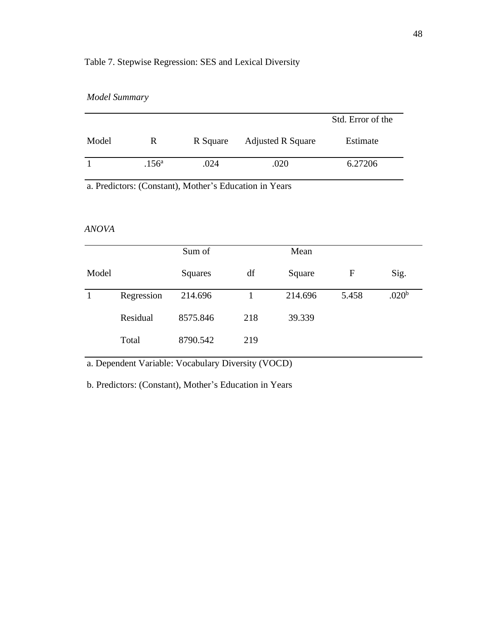## Table 7. Stepwise Regression: SES and Lexical Diversity

|  | <b>Model Summary</b> |
|--|----------------------|
|--|----------------------|

|       |                   |          |                          | Std. Error of the |
|-------|-------------------|----------|--------------------------|-------------------|
| Model | R                 | R Square | <b>Adjusted R Square</b> | Estimate          |
|       | .156 <sup>a</sup> | .024     | .020                     | 6.27206           |

a. Predictors: (Constant), Mother's Education in Years

### *ANOVA*

|       |            | Sum of   |     | Mean    |             |                   |
|-------|------------|----------|-----|---------|-------------|-------------------|
| Model |            | Squares  | df  | Square  | $\mathbf F$ | Sig.              |
|       | Regression | 214.696  |     | 214.696 | 5.458       | .020 <sup>b</sup> |
|       | Residual   | 8575.846 | 218 | 39.339  |             |                   |
|       | Total      | 8790.542 | 219 |         |             |                   |

a. Dependent Variable: Vocabulary Diversity (VOCD)

b. Predictors: (Constant), Mother's Education in Years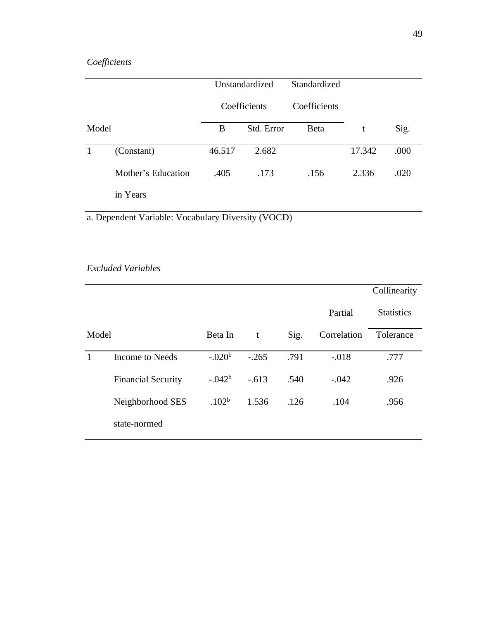# *Coefficients*

|       |                    | Unstandardized |            | Standardized |        |      |
|-------|--------------------|----------------|------------|--------------|--------|------|
|       |                    | Coefficients   |            | Coefficients |        |      |
| Model |                    | B              | Std. Error | <b>B</b> eta | t      | Sig. |
|       | (Constant)         | 46.517         | 2.682      |              | 17.342 | .000 |
|       | Mother's Education | .405           | .173       | .156         | 2.336  | .020 |
|       | in Years           |                |            |              |        |      |

a. Dependent Variable: Vocabulary Diversity (VOCD)

### *Excluded Variables*

|       |                           |                   |         |      |             | Collinearity      |
|-------|---------------------------|-------------------|---------|------|-------------|-------------------|
|       |                           |                   |         |      | Partial     | <b>Statistics</b> |
| Model |                           | Beta In           | t       | Sig. | Correlation | Tolerance         |
| 1     | Income to Needs           | $-.020b$          | $-.265$ | .791 | $-.018$     | .777              |
|       | <b>Financial Security</b> | $-.042b$          | $-.613$ | .540 | $-.042$     | .926              |
|       | Neighborhood SES          | .102 <sup>b</sup> | 1.536   | .126 | .104        | .956              |
|       | state-normed              |                   |         |      |             |                   |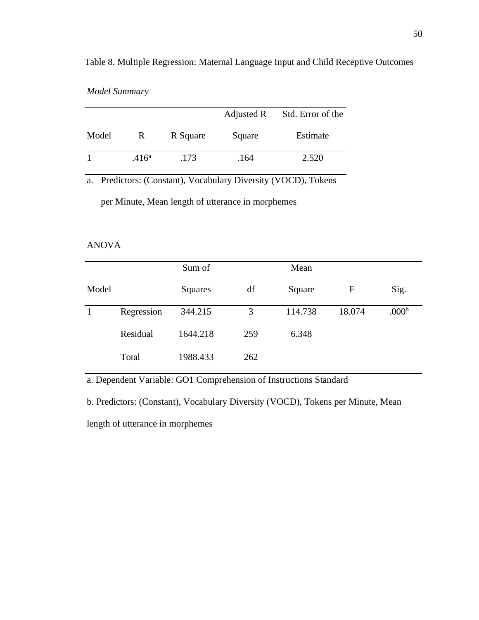|  | <b>Model Summary</b> |
|--|----------------------|
|--|----------------------|

|       |                   |          | Adjusted R | Std. Error of the |
|-------|-------------------|----------|------------|-------------------|
| Model | R                 | R Square | Square     | Estimate          |
|       | .416 <sup>a</sup> | .173     | .164       | 2.520             |

a. Predictors: (Constant), Vocabulary Diversity (VOCD), Tokens

per Minute, Mean length of utterance in morphemes

#### ANOVA

|       |            | Sum of   |     | Mean    |        |                   |
|-------|------------|----------|-----|---------|--------|-------------------|
| Model |            | Squares  | df  | Square  | F      | Sig.              |
|       | Regression | 344.215  | 3   | 114.738 | 18.074 | .000 <sup>b</sup> |
|       | Residual   | 1644.218 | 259 | 6.348   |        |                   |
|       | Total      | 1988.433 | 262 |         |        |                   |

a. Dependent Variable: GO1 Comprehension of Instructions Standard

b. Predictors: (Constant), Vocabulary Diversity (VOCD), Tokens per Minute, Mean

length of utterance in morphemes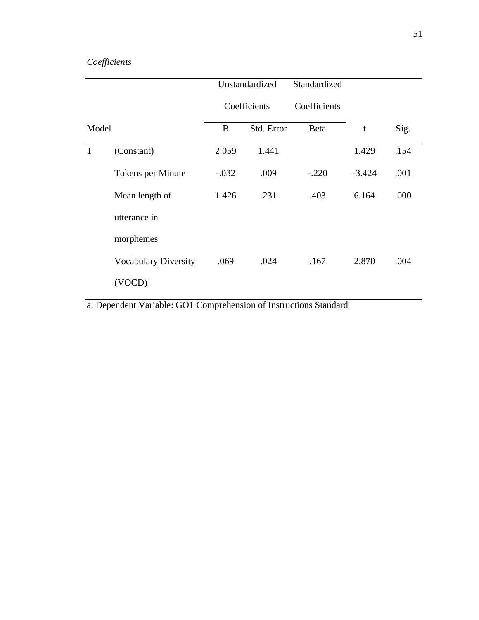# *Coefficients*

|              |                             | Unstandardized |            | Standardized |          |      |
|--------------|-----------------------------|----------------|------------|--------------|----------|------|
|              |                             | Coefficients   |            | Coefficients |          |      |
| Model        |                             | B              | Std. Error | Beta         | t        | Sig. |
| $\mathbf{1}$ | (Constant)                  | 2.059          | 1.441      |              | 1.429    | .154 |
|              | Tokens per Minute           | $-.032$        | .009       | $-.220$      | $-3.424$ | .001 |
|              | Mean length of              | 1.426          | .231       | .403         | 6.164    | .000 |
|              | utterance in                |                |            |              |          |      |
|              | morphemes                   |                |            |              |          |      |
|              | <b>Vocabulary Diversity</b> | .069           | .024       | .167         | 2.870    | .004 |
|              | (VOCD)                      |                |            |              |          |      |

a. Dependent Variable: GO1 Comprehension of Instructions Standard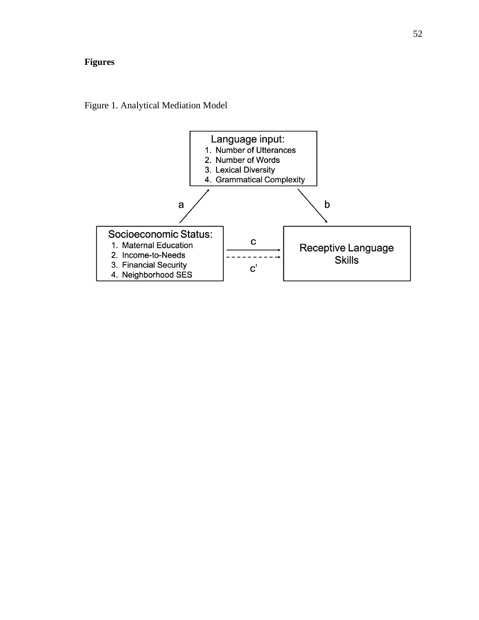# **Figures**

Figure 1. Analytical Mediation Model

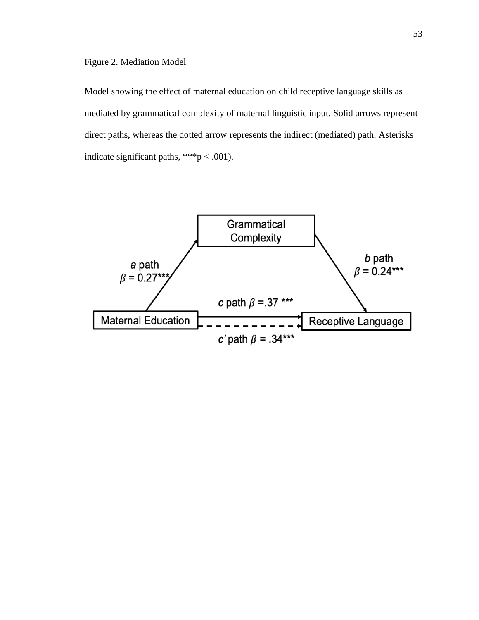Model showing the effect of maternal education on child receptive language skills as mediated by grammatical complexity of maternal linguistic input. Solid arrows represent direct paths, whereas the dotted arrow represents the indirect (mediated) path. Asterisks indicate significant paths,  $***p < .001$ ).

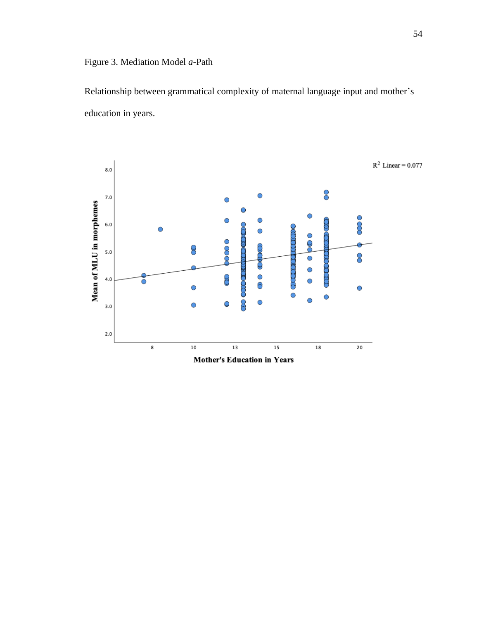Relationship between grammatical complexity of maternal language input and mother's education in years.

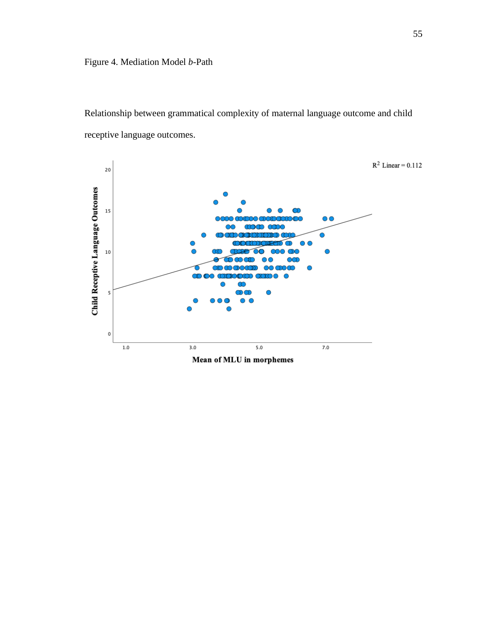# Figure 4. Mediation Model *b*-Path

Relationship between grammatical complexity of maternal language outcome and child receptive language outcomes.

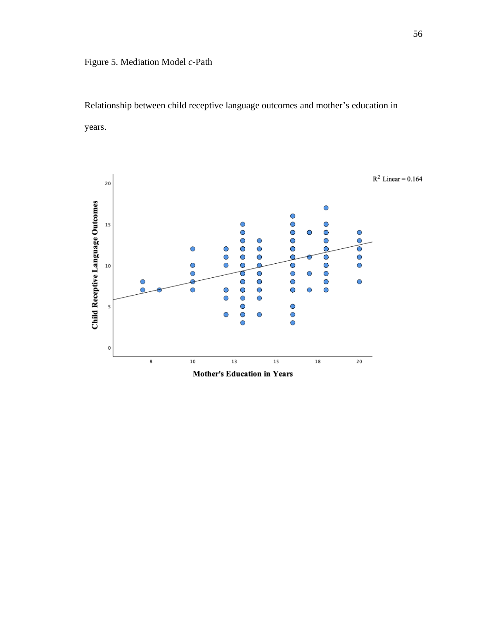Relationship between child receptive language outcomes and mother's education in years.

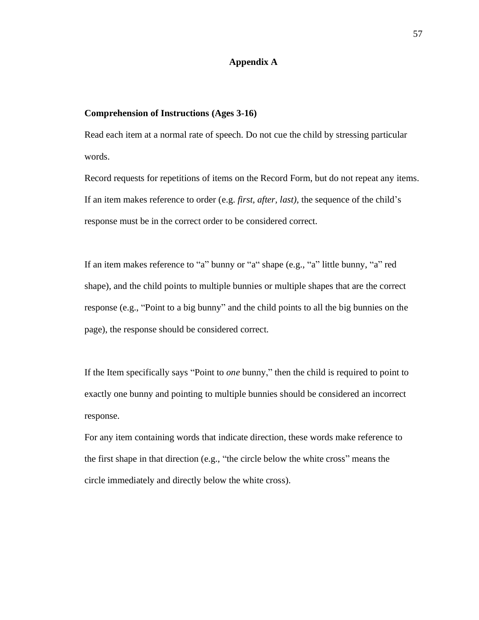#### **Appendix A**

#### **Comprehension of Instructions (Ages 3-16)**

Read each item at a normal rate of speech. Do not cue the child by stressing particular words.

Record requests for repetitions of items on the Record Form, but do not repeat any items. If an item makes reference to order (e.g. *first, after, last),* the sequence of the child's response must be in the correct order to be considered correct.

If an item makes reference to "a" bunny or "a" shape (e.g., "a" little bunny, "a" red shape), and the child points to multiple bunnies or multiple shapes that are the correct response (e.g., "Point to a big bunny" and the child points to all the big bunnies on the page), the response should be considered correct.

If the Item specifically says "Point to *one* bunny," then the child is required to point to exactly one bunny and pointing to multiple bunnies should be considered an incorrect response.

For any item containing words that indicate direction, these words make reference to the first shape in that direction (e.g., "the circle below the white cross" means the circle immediately and directly below the white cross).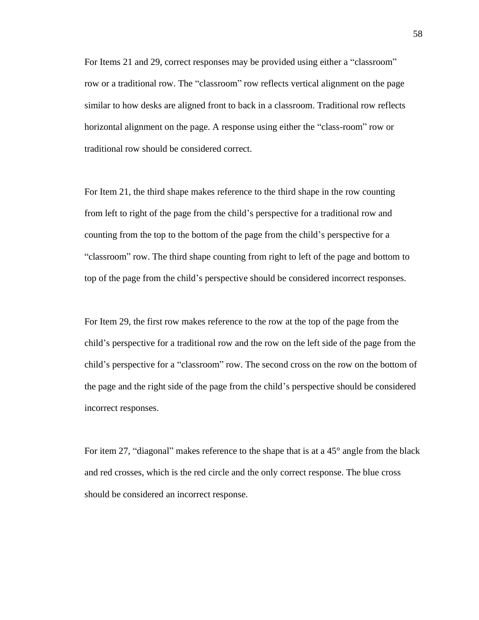For Items 21 and 29, correct responses may be provided using either a "classroom" row or a traditional row. The "classroom" row reflects vertical alignment on the page similar to how desks are aligned front to back in a classroom. Traditional row reflects horizontal alignment on the page. A response using either the "class-room" row or traditional row should be considered correct.

For Item 21, the third shape makes reference to the third shape in the row counting from left to right of the page from the child's perspective for a traditional row and counting from the top to the bottom of the page from the child's perspective for a "classroom" row. The third shape counting from right to left of the page and bottom to top of the page from the child's perspective should be considered incorrect responses.

For Item 29, the first row makes reference to the row at the top of the page from the child's perspective for a traditional row and the row on the left side of the page from the child's perspective for a "classroom" row. The second cross on the row on the bottom of the page and the right side of the page from the child's perspective should be considered incorrect responses.

For item 27, "diagonal" makes reference to the shape that is at a 45° angle from the black and red crosses, which is the red circle and the only correct response. The blue cross should be considered an incorrect response.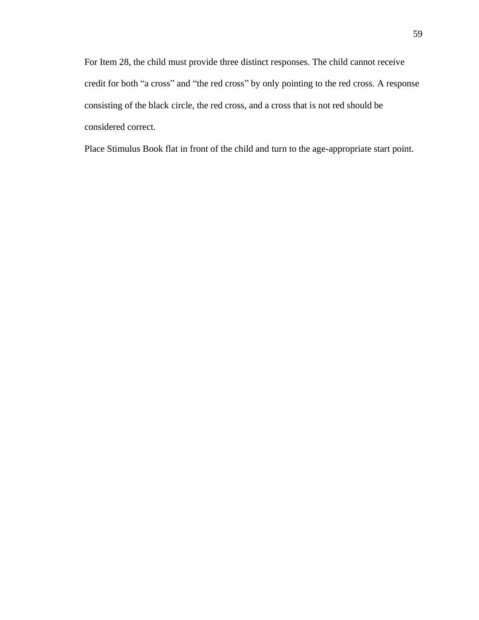For Item 28, the child must provide three distinct responses. The child cannot receive credit for both "a cross" and "the red cross" by only pointing to the red cross. A response consisting of the black circle, the red cross, and a cross that is not red should be considered correct.

Place Stimulus Book flat in front of the child and turn to the age-appropriate start point.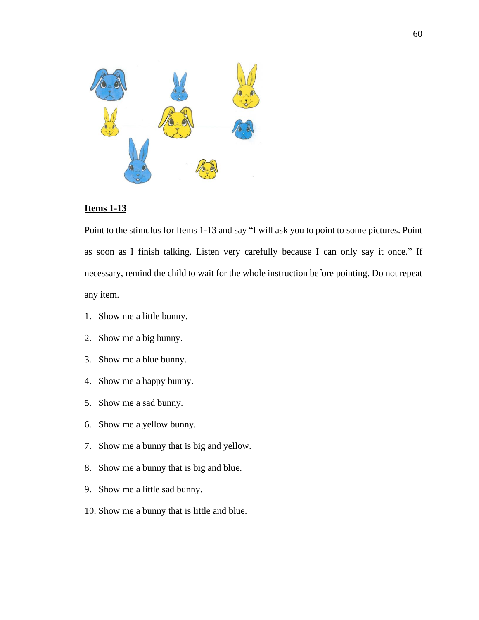

### **Items 1-13**

Point to the stimulus for Items 1-13 and say "I will ask you to point to some pictures. Point as soon as I finish talking. Listen very carefully because I can only say it once." If necessary, remind the child to wait for the whole instruction before pointing. Do not repeat any item.

- 1. Show me a little bunny.
- 2. Show me a big bunny.
- 3. Show me a blue bunny.
- 4. Show me a happy bunny.
- 5. Show me a sad bunny.
- 6. Show me a yellow bunny.
- 7. Show me a bunny that is big and yellow.
- 8. Show me a bunny that is big and blue.
- 9. Show me a little sad bunny.
- 10. Show me a bunny that is little and blue.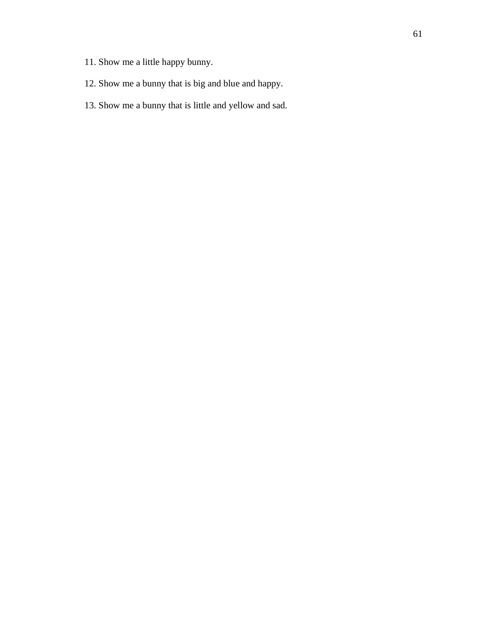- 11. Show me a little happy bunny.
- 12. Show me a bunny that is big and blue and happy.
- 13. Show me a bunny that is little and yellow and sad.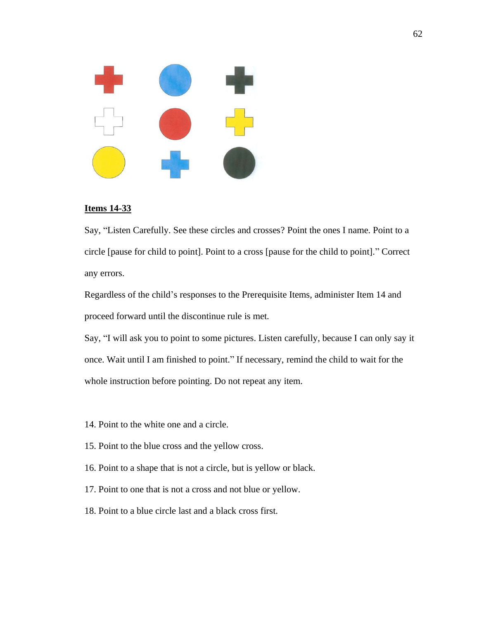

#### **Items 14-33**

Say, "Listen Carefully. See these circles and crosses? Point the ones I name. Point to a circle [pause for child to point]. Point to a cross [pause for the child to point]." Correct any errors.

Regardless of the child's responses to the Prerequisite Items, administer Item 14 and proceed forward until the discontinue rule is met.

Say, "I will ask you to point to some pictures. Listen carefully, because I can only say it once. Wait until I am finished to point." If necessary, remind the child to wait for the whole instruction before pointing. Do not repeat any item.

- 14. Point to the white one and a circle.
- 15. Point to the blue cross and the yellow cross.
- 16. Point to a shape that is not a circle, but is yellow or black.
- 17. Point to one that is not a cross and not blue or yellow.
- 18. Point to a blue circle last and a black cross first.